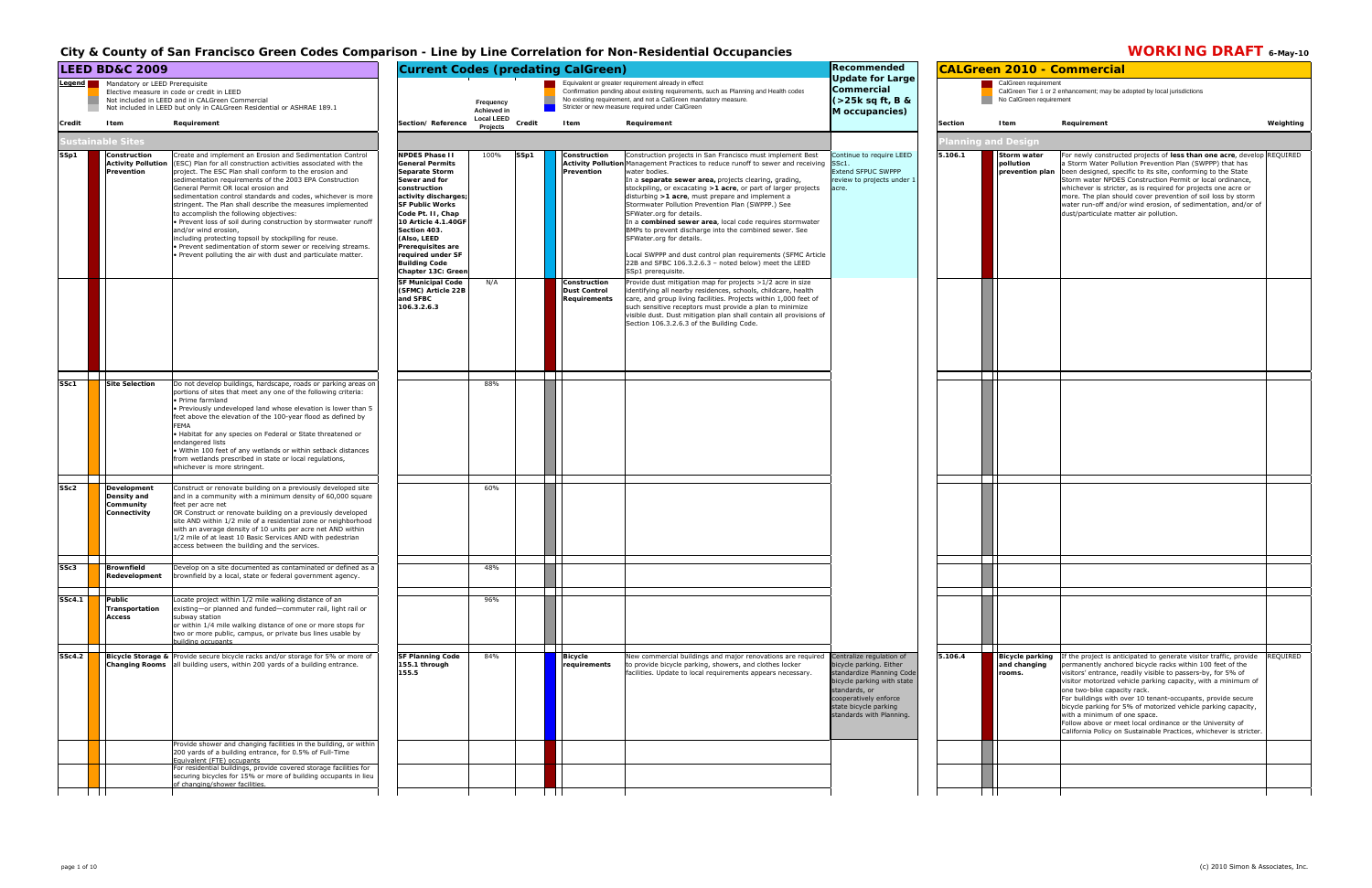## **CALGreen 2010 - Commercial** CalGreen requirement<br>CalGreen Tier 1 or 2 enhancement; may be adopted by local jurisdictions<br>No CalGreen requirement **5.106.1 Storm water pollution prevention plan** For newly constructed projects of **less than one acre**, develop REQUIRED<br>a Storm Water Pollution Prevention Plan (SWPPP) that has been designed, specific to its site, conforming to the State Storm water NPDES Construction Permit or local ordinance, whichever is stricter, as is required for projects one acre or more. The plan should cover prevention of soil loss by storm water run-off and/or wind erosion, of sedimentation, and/or of dust/particulate matter air pollution. **5.106.4 Bicycle parking** If the project is anticipated to generate visitor traffic, provide **and changing rooms.**ermanently anchored bicycle racks within 100 feet of the visitors' entrance, readily visible to passers-by, for 5% of visitor motorized vehicle parking capacity, with a minimum of one two-bike capacity rack. For buildings with over 10 tenant-occupants, provide secure bicycle parking for 5% of motorized vehicle parking capacity, with a minimum of one space. Follow above or meet local ordinance or the University of California Policy on Sustainable Practices, whichever is stricter. REQUIRED

## City & County of San Francisco Green Codes Comparison - Line by Line Correlation for Non-Residential Occupancies **WORKING DRAFT** 6-May-10

|               | <b>LEED BD&amp;C 2009</b><br>Mandatory or LEED Prerequisite<br>Legend <sub>l</sub><br>Elective measure in code or credit in LEED<br>Not included in LEED and in CALGreen Commercial |                                                                                                                                                                                                                                                                                                                                                                                                                                                                                                                                                                                                                                                                                                                                                         | <b>Current Codes (predating CalGreen)</b><br>Equivalent or greater requirement already in effect<br>Confirmation pending about existing requirements, such as Planning and Health codes                                                                                                                                                                                                                    |                                                      |        | Recommended<br><b>Update for Large</b>                                            |                                                                                                                                                                                                                                                                                                                                                                                                                                                                                                                                                                                                                                                                                                                                                                                                                                                                                                                                                                                                                                                                                                                         |                                                                                                                                                                                                               | <b>CALGreen 2010 - Commercial</b> |                                                                    |                                                                                                                                                                                                                                                                                                                                                                                                                                                                                                                                                                                                                       |
|---------------|-------------------------------------------------------------------------------------------------------------------------------------------------------------------------------------|---------------------------------------------------------------------------------------------------------------------------------------------------------------------------------------------------------------------------------------------------------------------------------------------------------------------------------------------------------------------------------------------------------------------------------------------------------------------------------------------------------------------------------------------------------------------------------------------------------------------------------------------------------------------------------------------------------------------------------------------------------|------------------------------------------------------------------------------------------------------------------------------------------------------------------------------------------------------------------------------------------------------------------------------------------------------------------------------------------------------------------------------------------------------------|------------------------------------------------------|--------|-----------------------------------------------------------------------------------|-------------------------------------------------------------------------------------------------------------------------------------------------------------------------------------------------------------------------------------------------------------------------------------------------------------------------------------------------------------------------------------------------------------------------------------------------------------------------------------------------------------------------------------------------------------------------------------------------------------------------------------------------------------------------------------------------------------------------------------------------------------------------------------------------------------------------------------------------------------------------------------------------------------------------------------------------------------------------------------------------------------------------------------------------------------------------------------------------------------------------|---------------------------------------------------------------------------------------------------------------------------------------------------------------------------------------------------------------|-----------------------------------|--------------------------------------------------------------------|-----------------------------------------------------------------------------------------------------------------------------------------------------------------------------------------------------------------------------------------------------------------------------------------------------------------------------------------------------------------------------------------------------------------------------------------------------------------------------------------------------------------------------------------------------------------------------------------------------------------------|
|               |                                                                                                                                                                                     | Not included in LEED but only in CALGreen Residential or ASHRAE 189.1                                                                                                                                                                                                                                                                                                                                                                                                                                                                                                                                                                                                                                                                                   |                                                                                                                                                                                                                                                                                                                                                                                                            | Frequency<br><b>Achieved in</b><br><b>Local LEED</b> |        |                                                                                   | No existing requirement, and not a CalGreen mandatory measure.<br>Stricter or new measure required under CalGreen                                                                                                                                                                                                                                                                                                                                                                                                                                                                                                                                                                                                                                                                                                                                                                                                                                                                                                                                                                                                       | Commercial<br>(>25k sq ft, B &<br>M occupancies)                                                                                                                                                              |                                   | CalGreen requirement<br>No CalGreen requirement                    | CalGreen Tier 1 or 2 enhancement; may be adopted by local jurisdictions                                                                                                                                                                                                                                                                                                                                                                                                                                                                                                                                               |
| Credit        | Item<br>ustainable Sites                                                                                                                                                            | Requirement                                                                                                                                                                                                                                                                                                                                                                                                                                                                                                                                                                                                                                                                                                                                             | Section/Reference                                                                                                                                                                                                                                                                                                                                                                                          | Projects                                             | Credit | <b>I</b> tem                                                                      | Requirement                                                                                                                                                                                                                                                                                                                                                                                                                                                                                                                                                                                                                                                                                                                                                                                                                                                                                                                                                                                                                                                                                                             |                                                                                                                                                                                                               | <b>Section</b>                    | Item                                                               | Weighting<br>Requirement                                                                                                                                                                                                                                                                                                                                                                                                                                                                                                                                                                                              |
| SSp1          | Construction<br><b>Activity Pollution</b><br>Prevention                                                                                                                             | Create and implement an Erosion and Sedimentation Control<br>(ESC) Plan for all construction activities associated with the<br>project. The ESC Plan shall conform to the erosion and<br>sedimentation requirements of the 2003 EPA Construction<br>General Permit OR local erosion and<br>sedimentation control standards and codes, whichever is more<br>stringent. The Plan shall describe the measures implemented<br>to accomplish the following objectives:<br>. Prevent loss of soil during construction by stormwater runoff<br>and/or wind erosion,<br>including protecting topsoil by stockpiling for reuse.<br>. Prevent sedimentation of storm sewer or receiving streams.<br>. Prevent polluting the air with dust and particulate matter. | <b>NPDES Phase II</b><br><b>General Permits</b><br><b>Separate Storm</b><br>Sewer and for<br>construction<br>activity discharges<br><b>SF Public Works</b><br>Code Pt. II, Chap<br>10 Article 4.1.40GF<br>Section 403.<br>(Also, LEED<br>Prerequisites are<br>required under SF<br><b>Building Code</b><br>Chapter 13C: Greer<br><b>SF Municipal Code</b><br>(SFMC) Article 22B<br>and SFBC<br>106.3.2.6.3 | 100%<br>N/A                                          | SSp1   | Construction<br>Prevention<br>Construction<br><b>Dust Control</b><br>Reauirements | Construction projects in San Francisco must implement Best<br>Activity Pollution Management Practices to reduce runoff to sewer and receiving SSc1.<br>water bodies.<br>In a separate sewer area, projects clearing, grading,<br>stockpiling, or excacating >1 acre, or part of larger projects<br>disturbing >1 acre, must prepare and implement a<br>Stormwater Pollution Prevention Plan (SWPPP.) See<br>SFWater.org for details.<br>In a combined sewer area, local code requires stormwater<br>BMPs to prevent discharge into the combined sewer. See<br>SFWater.org for details.<br>Local SWPPP and dust control plan requirements (SFMC Article<br>22B and SFBC 106.3.2.6.3 - noted below) meet the LEED<br>SSp1 prerequisite.<br>Provide dust mitigation map for projects >1/2 acre in size<br>identifying all nearby residences, schools, childcare, health<br>care, and group living facilities. Projects within 1,000 feet of<br>such sensitive receptors must provide a plan to minimize<br>visible dust. Dust mitigation plan shall contain all provisions of<br>Section 106.3.2.6.3 of the Building Code. | Continue to require LEED<br>Extend SFPUC SWPPP<br>review to projects under :<br>acre.                                                                                                                         | 5.106.1                           | lanning and Design'<br>Storm water<br>pollution<br>prevention plan | For newly constructed projects of less than one acre, develop REQUIRED<br>a Storm Water Pollution Prevention Plan (SWPPP) that has<br>been designed, specific to its site, conforming to the State<br>Storm water NPDES Construction Permit or local ordinance,<br>whichever is stricter, as is required for projects one acre or<br>more. The plan should cover prevention of soil loss by storm<br>water run-off and/or wind erosion, of sedimentation, and/or of<br>dust/particulate matter air pollution.                                                                                                         |
|               |                                                                                                                                                                                     |                                                                                                                                                                                                                                                                                                                                                                                                                                                                                                                                                                                                                                                                                                                                                         |                                                                                                                                                                                                                                                                                                                                                                                                            |                                                      |        |                                                                                   |                                                                                                                                                                                                                                                                                                                                                                                                                                                                                                                                                                                                                                                                                                                                                                                                                                                                                                                                                                                                                                                                                                                         |                                                                                                                                                                                                               |                                   |                                                                    |                                                                                                                                                                                                                                                                                                                                                                                                                                                                                                                                                                                                                       |
| SSc1          | <b>Site Selection</b>                                                                                                                                                               | Do not develop buildings, hardscape, roads or parking areas on<br>portions of sites that meet any one of the following criteria:<br>· Prime farmland<br>Previously undeveloped land whose elevation is lower than 5<br>feet above the elevation of the 100-year flood as defined by<br><b>FEMA</b><br>• Habitat for any species on Federal or State threatened or<br>endangered lists<br>. Within 100 feet of any wetlands or within setback distances<br>from wetlands prescribed in state or local regulations,<br>whichever is more stringent.                                                                                                                                                                                                       |                                                                                                                                                                                                                                                                                                                                                                                                            | 88%                                                  |        |                                                                                   |                                                                                                                                                                                                                                                                                                                                                                                                                                                                                                                                                                                                                                                                                                                                                                                                                                                                                                                                                                                                                                                                                                                         |                                                                                                                                                                                                               |                                   | $\blacksquare$                                                     |                                                                                                                                                                                                                                                                                                                                                                                                                                                                                                                                                                                                                       |
| SSc2          | Development<br>Density and<br>Community<br>Connectivity                                                                                                                             | Construct or renovate building on a previously developed site<br>and in a community with a minimum density of 60,000 square<br>feet per acre net<br>OR Construct or renovate building on a previously developed<br>site AND within 1/2 mile of a residential zone or neighborhood<br>with an average density of 10 units per acre net AND within<br>1/2 mile of at least 10 Basic Services AND with pedestrian<br>access between the building and the services.                                                                                                                                                                                                                                                                                         |                                                                                                                                                                                                                                                                                                                                                                                                            | 60%                                                  |        |                                                                                   |                                                                                                                                                                                                                                                                                                                                                                                                                                                                                                                                                                                                                                                                                                                                                                                                                                                                                                                                                                                                                                                                                                                         |                                                                                                                                                                                                               |                                   |                                                                    |                                                                                                                                                                                                                                                                                                                                                                                                                                                                                                                                                                                                                       |
| SSc3          | Brownfield<br>Redevelopment                                                                                                                                                         | Develop on a site documented as contaminated or defined as a<br>brownfield by a local, state or federal government agency.                                                                                                                                                                                                                                                                                                                                                                                                                                                                                                                                                                                                                              |                                                                                                                                                                                                                                                                                                                                                                                                            | 48%                                                  |        |                                                                                   |                                                                                                                                                                                                                                                                                                                                                                                                                                                                                                                                                                                                                                                                                                                                                                                                                                                                                                                                                                                                                                                                                                                         |                                                                                                                                                                                                               |                                   |                                                                    |                                                                                                                                                                                                                                                                                                                                                                                                                                                                                                                                                                                                                       |
| <b>SSc4.1</b> | Public<br>Transportation<br>Access<br>$\mathbf{1}$                                                                                                                                  | Locate project within 1/2 mile walking distance of an<br>existing—or planned and funded—commuter rail, light rail or<br>subway station<br>or within 1/4 mile walking distance of one or more stops for<br>two or more public, campus, or private bus lines usable by<br>uilding occupants                                                                                                                                                                                                                                                                                                                                                                                                                                                               |                                                                                                                                                                                                                                                                                                                                                                                                            | 96%                                                  |        | <b>Contract Contract Street</b><br>$\mathbf{1}$                                   |                                                                                                                                                                                                                                                                                                                                                                                                                                                                                                                                                                                                                                                                                                                                                                                                                                                                                                                                                                                                                                                                                                                         |                                                                                                                                                                                                               |                                   | $\mathbf{1}$                                                       |                                                                                                                                                                                                                                                                                                                                                                                                                                                                                                                                                                                                                       |
| SSc4.2        |                                                                                                                                                                                     | <b>Bicycle Storage &amp; Provide secure bicycle racks and/or storage for 5% or more of</b><br><b>Changing Rooms</b> all building users, within 200 yards of a building entrance.                                                                                                                                                                                                                                                                                                                                                                                                                                                                                                                                                                        | <b>SF Planning Code</b><br>155.1 through<br>155.5                                                                                                                                                                                                                                                                                                                                                          | 84%                                                  |        | <b>Bicycle</b><br>equirements                                                     | New commercial buildings and major renovations are required<br>to provide bicycle parking, showers, and clothes locker<br>facilities. Update to local requirements appears necessary.                                                                                                                                                                                                                                                                                                                                                                                                                                                                                                                                                                                                                                                                                                                                                                                                                                                                                                                                   | Centralize regulation of<br>bicycle parking. Either<br>standardize Planning Code<br>bicycle parking with state<br>standards, or<br>cooperatively enforce<br>state bicycle parking<br>standards with Planning. | 5.106.4                           | <b>Bicycle parking</b><br>and changing<br>rooms.                   | If the project is anticipated to generate visitor traffic, provide<br><b>REQUIRED</b><br>permanently anchored bicycle racks within 100 feet of the<br>visitors' entrance, readily visible to passers-by, for 5% of<br>visitor motorized vehicle parking capacity, with a minimum of<br>one two-bike capacity rack.<br>For buildings with over 10 tenant-occupants, provide secure<br>bicycle parking for 5% of motorized vehicle parking capacity,<br>with a minimum of one space.<br>Follow above or meet local ordinance or the University of<br>California Policy on Sustainable Practices, whichever is stricter. |
|               |                                                                                                                                                                                     | Provide shower and changing facilities in the building, or within<br>200 yards of a building entrance, for 0.5% of Full-Time<br>Equivalent (FTE) occupants<br>For residential buildings, provide covered storage facilities for<br>securing bicycles for 15% or more of building occupants in lieu                                                                                                                                                                                                                                                                                                                                                                                                                                                      |                                                                                                                                                                                                                                                                                                                                                                                                            |                                                      |        |                                                                                   |                                                                                                                                                                                                                                                                                                                                                                                                                                                                                                                                                                                                                                                                                                                                                                                                                                                                                                                                                                                                                                                                                                                         |                                                                                                                                                                                                               |                                   |                                                                    |                                                                                                                                                                                                                                                                                                                                                                                                                                                                                                                                                                                                                       |
|               |                                                                                                                                                                                     | of changing/shower facilities.                                                                                                                                                                                                                                                                                                                                                                                                                                                                                                                                                                                                                                                                                                                          |                                                                                                                                                                                                                                                                                                                                                                                                            |                                                      |        |                                                                                   |                                                                                                                                                                                                                                                                                                                                                                                                                                                                                                                                                                                                                                                                                                                                                                                                                                                                                                                                                                                                                                                                                                                         |                                                                                                                                                                                                               |                                   |                                                                    |                                                                                                                                                                                                                                                                                                                                                                                                                                                                                                                                                                                                                       |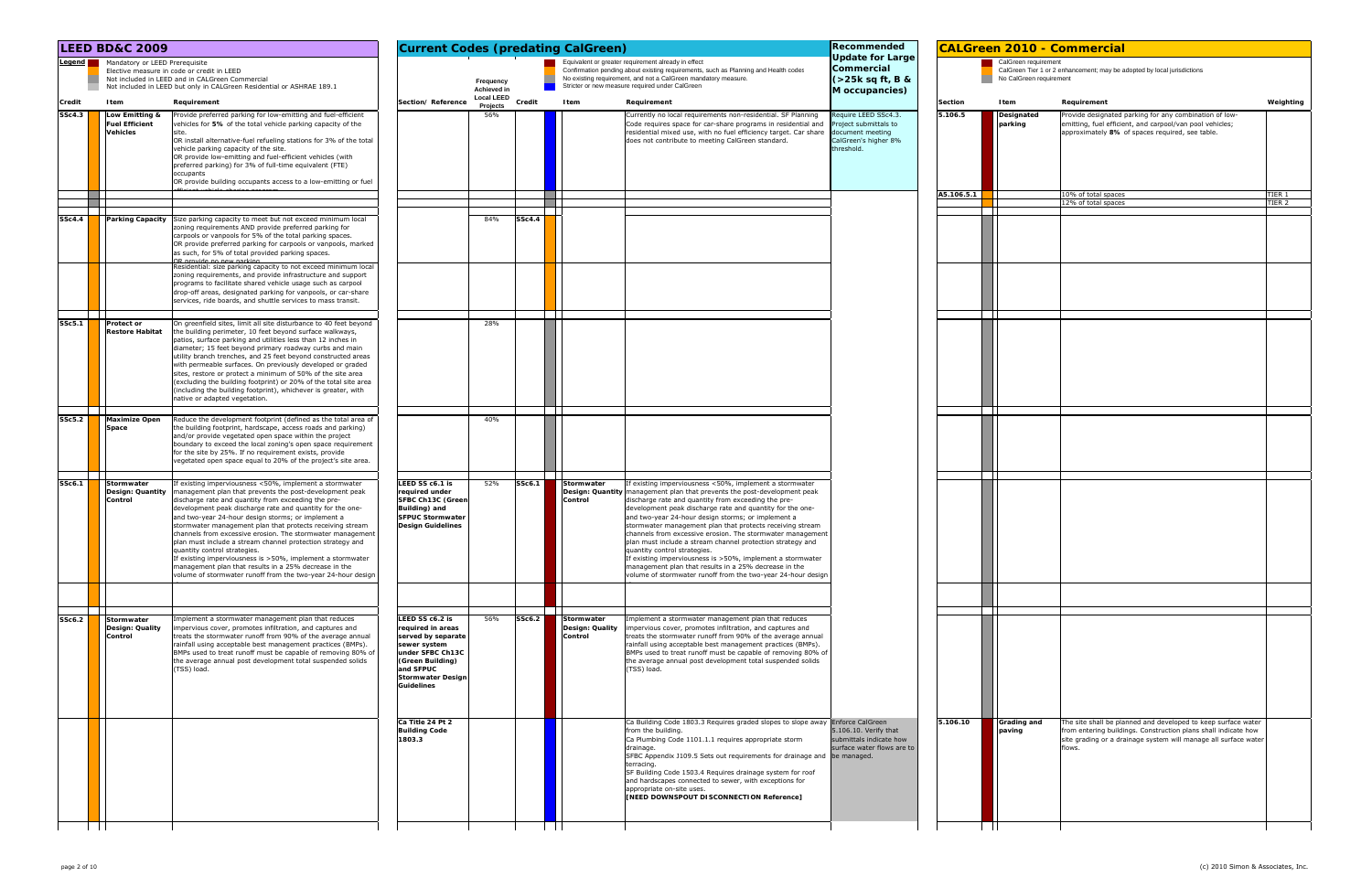|                     | <b>LEED BD&amp;C 2009</b>                                                                                                                                                                                                                                                                                                                                                                                                                                                                                                                                                                                                                                                                                                                                |                                                                                                                                                                                  |                               |               | <b>Current Codes (predating CalGreen)</b>                                                                                                                                                                                                                                                                                                                                                                                                                                                                                                                                                                                                                                                                                                                | Recommended                                                                                          | <b>CALGreen 2010 - Commercial</b> |                                                 |                                                                                                                                                                                                              |                   |
|---------------------|----------------------------------------------------------------------------------------------------------------------------------------------------------------------------------------------------------------------------------------------------------------------------------------------------------------------------------------------------------------------------------------------------------------------------------------------------------------------------------------------------------------------------------------------------------------------------------------------------------------------------------------------------------------------------------------------------------------------------------------------------------|----------------------------------------------------------------------------------------------------------------------------------------------------------------------------------|-------------------------------|---------------|----------------------------------------------------------------------------------------------------------------------------------------------------------------------------------------------------------------------------------------------------------------------------------------------------------------------------------------------------------------------------------------------------------------------------------------------------------------------------------------------------------------------------------------------------------------------------------------------------------------------------------------------------------------------------------------------------------------------------------------------------------|------------------------------------------------------------------------------------------------------|-----------------------------------|-------------------------------------------------|--------------------------------------------------------------------------------------------------------------------------------------------------------------------------------------------------------------|-------------------|
| Legend <b>Legen</b> | Mandatory or LEED Prerequisite<br>Elective measure in code or credit in LEED<br>Not included in LEED and in CALGreen Commercial<br>Not included in LEED but only in CALGreen Residential or ASHRAE 189.1                                                                                                                                                                                                                                                                                                                                                                                                                                                                                                                                                 |                                                                                                                                                                                  | Frequency<br>Achieved in      |               | Equivalent or greater requirement already in effect<br>Confirmation pending about existing requirements, such as Planning and Health codes<br>No existing requirement, and not a CalGreen mandatory measure.<br>Stricter or new measure required under CalGreen                                                                                                                                                                                                                                                                                                                                                                                                                                                                                          | <b>Update for Large</b><br>Commercial<br>$\left($ >25k sq ft, B &<br>M occupancies)                  |                                   | CalGreen requirement<br>No CalGreen requirement | CalGreen Tier 1 or 2 enhancement; may be adopted by local jurisdictions                                                                                                                                      |                   |
| Credit              | Item<br>Requirement                                                                                                                                                                                                                                                                                                                                                                                                                                                                                                                                                                                                                                                                                                                                      | Section/Reference                                                                                                                                                                | <b>Local LEED</b><br>Projects | Credit        | Item<br>Requirement                                                                                                                                                                                                                                                                                                                                                                                                                                                                                                                                                                                                                                                                                                                                      |                                                                                                      | <b>Section</b><br>Item            |                                                 | Requirement                                                                                                                                                                                                  | Weighting         |
| SSc4.3              | Low Emitting &<br>Provide preferred parking for low-emitting and fuel-efficient<br><b>Fuel Efficient</b><br>vehicles for 5% of the total vehicle parking capacity of the<br><b>Vehicles</b><br>OR install alternative-fuel refueling stations for 3% of the total<br>vehicle parking capacity of the site.<br>OR provide low-emitting and fuel-efficient vehicles (with<br>preferred parking) for 3% of full-time equivalent (FTE)<br>occupants<br>OR provide building occupants access to a low-emitting or fuel                                                                                                                                                                                                                                        |                                                                                                                                                                                  | 56%                           |               | Currently no local requirements non-residential. SF Planning<br>Code requires space for car-share programs in residential and<br>residential mixed use, with no fuel efficiency target. Car share<br>does not contribute to meeting CalGreen standard.                                                                                                                                                                                                                                                                                                                                                                                                                                                                                                   | equire LEED SSc4.3<br>roject submittals to<br>document meeting<br>CalGreen's higher 8%<br>threshold. | 5.106.5<br>A5.106.5.1             | <b>Designated</b><br>parking                    | Provide designated parking for any combination of low-<br>emitting, fuel efficient, and carpool/van pool vehicles;<br>approximately 8% of spaces required, see table.<br>10% of total spaces                 | TIER 1            |
|                     |                                                                                                                                                                                                                                                                                                                                                                                                                                                                                                                                                                                                                                                                                                                                                          |                                                                                                                                                                                  |                               |               |                                                                                                                                                                                                                                                                                                                                                                                                                                                                                                                                                                                                                                                                                                                                                          |                                                                                                      |                                   |                                                 | 12% of total spaces                                                                                                                                                                                          | TIER <sub>2</sub> |
| <b>SSc4.4</b>       | <b>Parking Capacity</b> Size parking capacity to meet but not exceed minimum local<br>zoning requirements AND provide preferred parking for<br>carpools or vanpools for 5% of the total parking spaces.<br>OR provide preferred parking for carpools or vanpools, marked<br>as such, for 5% of total provided parking spaces.<br>OR provide no new parking<br>Residential: size parking capacity to not exceed minimum local<br>zoning requirements, and provide infrastructure and support<br>programs to facilitate shared vehicle usage such as carpool<br>drop-off areas, designated parking for vanpools, or car-share<br>services, ride boards, and shuttle services to mass transit.                                                              |                                                                                                                                                                                  | 84%                           | <b>SSc4.4</b> |                                                                                                                                                                                                                                                                                                                                                                                                                                                                                                                                                                                                                                                                                                                                                          |                                                                                                      |                                   |                                                 |                                                                                                                                                                                                              |                   |
| SSc5.1              | On greenfield sites, limit all site disturbance to 40 feet beyond<br><b>Protect or</b><br><b>Restore Habitat</b><br>the building perimeter, 10 feet beyond surface walkways,<br>patios, surface parking and utilities less than 12 inches in<br>diameter; 15 feet beyond primary roadway curbs and main<br>utility branch trenches, and 25 feet beyond constructed areas<br>with permeable surfaces. On previously developed or graded<br>sites, restore or protect a minimum of 50% of the site area<br>(excluding the building footprint) or 20% of the total site area<br>(including the building footprint), whichever is greater, with<br>native or adapted vegetation.                                                                             |                                                                                                                                                                                  | 28%                           |               |                                                                                                                                                                                                                                                                                                                                                                                                                                                                                                                                                                                                                                                                                                                                                          |                                                                                                      |                                   |                                                 |                                                                                                                                                                                                              |                   |
| SSc5.2              | <b>Maximize Open</b><br>Reduce the development footprint (defined as the total area of<br>the building footprint, hardscape, access roads and parking)<br><b>Space</b><br>and/or provide vegetated open space within the project<br>boundary to exceed the local zoning's open space requirement<br>for the site by 25%. If no requirement exists, provide<br>vegetated open space equal to 20% of the project's site area.                                                                                                                                                                                                                                                                                                                              |                                                                                                                                                                                  | 40%                           |               |                                                                                                                                                                                                                                                                                                                                                                                                                                                                                                                                                                                                                                                                                                                                                          |                                                                                                      |                                   |                                                 |                                                                                                                                                                                                              |                   |
| <b>SSc6.1</b>       | Stormwater<br>If existing imperviousness <50%, implement a stormwater<br>Design: Quantity   management plan that prevents the post-development peak<br>Control<br>discharge rate and quantity from exceeding the pre-<br>development peak discharge rate and quantity for the one-<br>and two-year 24-hour design storms; or implement a<br>stormwater management plan that protects receiving stream<br>channels from excessive erosion. The stormwater management<br>llan must include a stream channel protection strategy and<br>quantity control strategies.<br>If existing imperviousness is >50%, implement a stormwater<br>management plan that results in a 25% decrease in the<br>volume of stormwater runoff from the two-year 24-hour design | LEED SS c6.1 is<br>eauired under<br>SFBC Ch13C (Green<br>Building) and<br><b>SFPUC Stormwater</b><br><b>Design Guidelines</b>                                                    | 52%                           | SSc6.1        | Stormwater<br>If existing imperviousness <50%, implement a stormwater<br>Design: Quantity   management plan that prevents the post-development peak<br>Control<br>discharge rate and quantity from exceeding the pre-<br>development peak discharge rate and quantity for the one-<br>and two-year 24-hour design storms; or implement a<br>stormwater management plan that protects receiving stream<br>channels from excessive erosion. The stormwater management<br>plan must include a stream channel protection strategy and<br>quantity control strategies.<br>If existing imperviousness is >50%, implement a stormwater<br>management plan that results in a 25% decrease in the<br>volume of stormwater runoff from the two-year 24-hour design |                                                                                                      |                                   |                                                 |                                                                                                                                                                                                              |                   |
| SSc6.2              | Implement a stormwater management plan that reduces<br>Stormwater<br>Design: Quality<br>impervious cover, promotes infiltration, and captures and<br>Control<br>treats the stormwater runoff from 90% of the average annual<br>rainfall using acceptable best management practices (BMPs).<br>BMPs used to treat runoff must be capable of removing 80% of<br>the average annual post development total suspended solids<br>TSS) load.                                                                                                                                                                                                                                                                                                                   | LEED SS c6.2 is<br>required in areas<br>served by separate<br>sewer system<br>under SFBC Ch13C<br>(Green Building)<br>and SFPUC<br><b>Stormwater Design</b><br><b>Guidelines</b> | 56%                           | SSc6.2        | Stormwater<br>Implement a stormwater management plan that reduces<br>Design: Quality<br>impervious cover, promotes infiltration, and captures and<br>Control<br>treats the stormwater runoff from 90% of the average annual<br>rainfall using acceptable best management practices (BMPs).<br>BMPs used to treat runoff must be capable of removing 80% of<br>the average annual post development total suspended solids<br>(TSS) load.                                                                                                                                                                                                                                                                                                                  |                                                                                                      |                                   |                                                 |                                                                                                                                                                                                              |                   |
|                     |                                                                                                                                                                                                                                                                                                                                                                                                                                                                                                                                                                                                                                                                                                                                                          | Ca Title 24 Pt 2<br><b>Building Code</b><br>1803.3                                                                                                                               |                               |               | Ca Building Code 1803.3 Requires graded slopes to slope away Enforce CalGreen<br>from the building.<br>Ca Plumbing Code 1101.1.1 requires appropriate storm<br>drainage.<br>SFBC Appendix J109.5 Sets out requirements for drainage and be managed.<br>terracing.<br>SF Building Code 1503.4 Requires drainage system for roof<br>and hardscapes connected to sewer, with exceptions for<br>appropriate on-site uses.<br>[NEED DOWNSPOUT DISCONNECTION Reference]                                                                                                                                                                                                                                                                                        | $5.106.10.$ Verify that<br>submittals indicate how<br>surface water flows are to                     | 5.106.10                          | <b>Grading and</b><br>paving                    | The site shall be planned and developed to keep surface water<br>from entering buildings. Construction plans shall indicate how<br>site grading or a drainage system will manage all surface water<br>flows. |                   |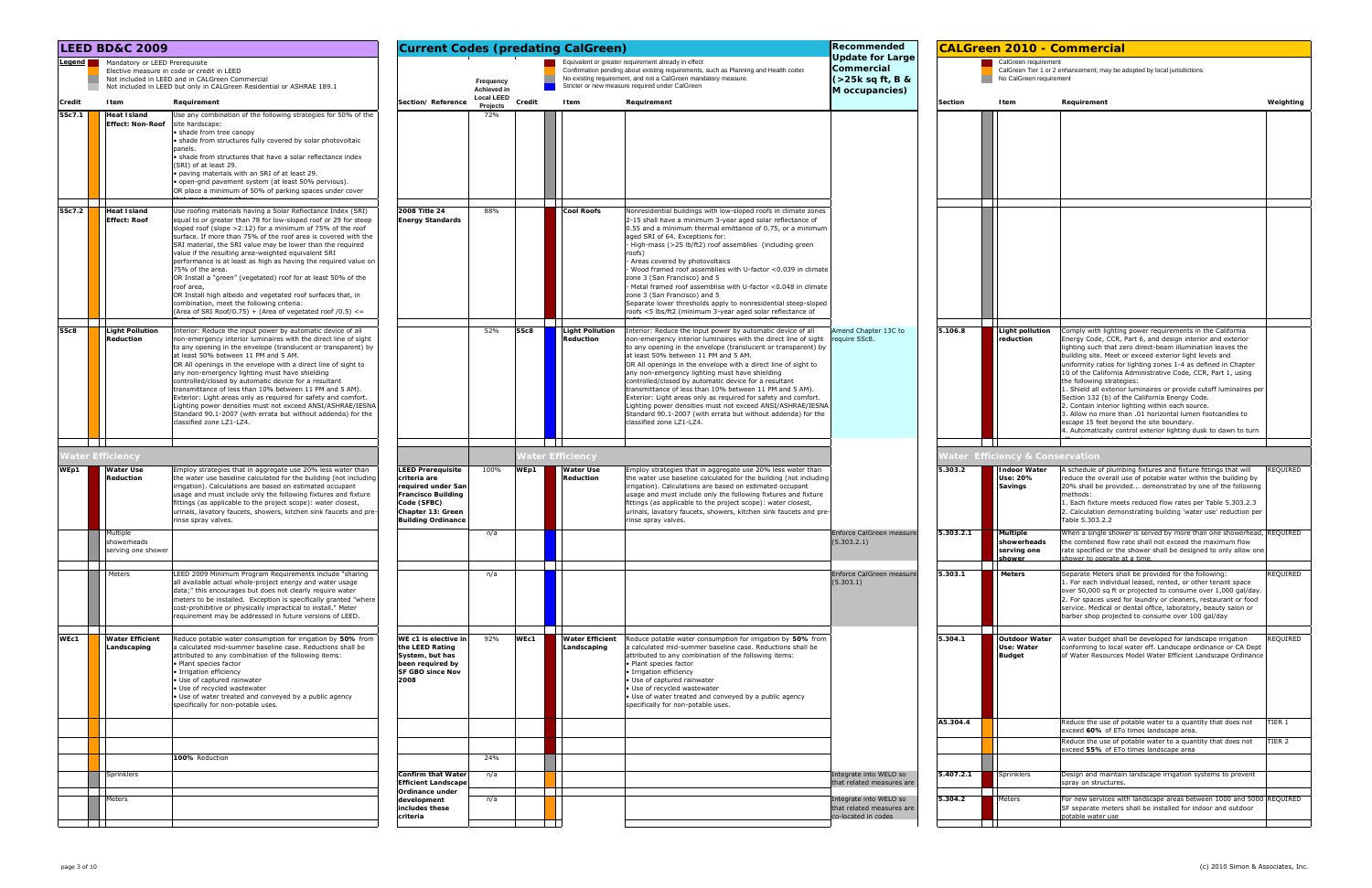|        | <b>LEED BD&amp;C 2009</b>                                         |                                                                                                                                                                                                                                                                                                                                                                                                                                                                                                                                                                                                                                                                                                                                           | Recommended<br><b>Current Codes (predating CalGreen)</b><br>Equivalent or greater requirement already in effect                                              |                                         |                                                       |                                                                                                                                                                                                                                                                                                                                                                                                                                                                                                                                                                                                                                                                                                              |                                                                            |                | <b>CALGreen 2010 - Commercial</b>                       |                                                                                                                                                                                                                                                                                                                                                                                                                                                                                                                                                                                                                                                                                                                                                                          |
|--------|-------------------------------------------------------------------|-------------------------------------------------------------------------------------------------------------------------------------------------------------------------------------------------------------------------------------------------------------------------------------------------------------------------------------------------------------------------------------------------------------------------------------------------------------------------------------------------------------------------------------------------------------------------------------------------------------------------------------------------------------------------------------------------------------------------------------------|--------------------------------------------------------------------------------------------------------------------------------------------------------------|-----------------------------------------|-------------------------------------------------------|--------------------------------------------------------------------------------------------------------------------------------------------------------------------------------------------------------------------------------------------------------------------------------------------------------------------------------------------------------------------------------------------------------------------------------------------------------------------------------------------------------------------------------------------------------------------------------------------------------------------------------------------------------------------------------------------------------------|----------------------------------------------------------------------------|----------------|---------------------------------------------------------|--------------------------------------------------------------------------------------------------------------------------------------------------------------------------------------------------------------------------------------------------------------------------------------------------------------------------------------------------------------------------------------------------------------------------------------------------------------------------------------------------------------------------------------------------------------------------------------------------------------------------------------------------------------------------------------------------------------------------------------------------------------------------|
|        | Legend Mandatory or LEED Prerequisite                             | Elective measure in code or credit in LEED<br>Not included in LEED and in CALGreen Commercial<br>Not included in LEED but only in CALGreen Residential or ASHRAE 189.1                                                                                                                                                                                                                                                                                                                                                                                                                                                                                                                                                                    |                                                                                                                                                              | Frequency<br>Achieved in                |                                                       | Confirmation pending about existing requirements, such as Planning and Health codes<br>No existing requirement, and not a CalGreen mandatory measure.<br>Stricter or new measure required under CalGreen                                                                                                                                                                                                                                                                                                                                                                                                                                                                                                     | Update for Large<br>Commercial<br>$($ >25k sq ft, B &<br>M occupancies)    |                | CalGreen requirement<br>No CalGreen requirement         | CalGreen Tier 1 or 2 enhancement; may be adopted by local jurisdictions                                                                                                                                                                                                                                                                                                                                                                                                                                                                                                                                                                                                                                                                                                  |
| Credit | Item                                                              | Requirement                                                                                                                                                                                                                                                                                                                                                                                                                                                                                                                                                                                                                                                                                                                               | Section/Reference                                                                                                                                            | <b>Local LEED</b><br>Credit<br>Projects | Item                                                  | Requirement                                                                                                                                                                                                                                                                                                                                                                                                                                                                                                                                                                                                                                                                                                  |                                                                            | <b>Section</b> | Item                                                    | Requirement<br>Weighting                                                                                                                                                                                                                                                                                                                                                                                                                                                                                                                                                                                                                                                                                                                                                 |
| SSc7.1 | <b>Heat Island</b><br><b>Effect: Non-Roof</b>                     | Use any combination of the following strategies for 50% of the<br>site hardscape:<br>· shade from tree canopy<br>· shade from structures fully covered by solar photovoltaic<br>panels.<br>· shade from structures that have a solar reflectance index<br>(SRI) of at least 29.<br>· paving materials with an SRI of at least 29.<br>· open-grid pavement system (at least 50% pervious).<br>OR place a minimum of 50% of parking spaces under cover                                                                                                                                                                                                                                                                                      |                                                                                                                                                              | 72%                                     |                                                       |                                                                                                                                                                                                                                                                                                                                                                                                                                                                                                                                                                                                                                                                                                              |                                                                            |                |                                                         |                                                                                                                                                                                                                                                                                                                                                                                                                                                                                                                                                                                                                                                                                                                                                                          |
| SSc7.2 | <b>Heat Island</b><br><b>Effect: Roof</b>                         | Use roofing materials having a Solar Reflectance Index (SRI)<br>equal to or greater than 78 for low-sloped roof or 29 for steep<br>sloped roof (slope $>2:12$ ) for a minimum of 75% of the roof<br>surface. If more than 75% of the roof area is covered with the<br>SRI material, the SRI value may be lower than the required<br>value if the resulting area-weighted equivalent SRI<br>performance is at least as high as having the required value on<br>75% of the area.<br>OR Install a "green" (vegetated) roof for at least 50% of the<br>roof area,<br>OR Install high albedo and vegetated roof surfaces that, in<br>combination, meet the following criteria:<br>(Area of SRI Roof/0.75) + (Area of vegetated roof $(0.5)$ <= | 2008 Title 24<br><b>Energy Standards</b>                                                                                                                     | 88%                                     | <b>Cool Roofs</b>                                     | Nonresidential buildings with low-sloped roofs in climate zones<br>2-15 shall have a minimum 3-year aged solar reflectance of<br>0.55 and a minimum thermal emittance of 0.75, or a minimum<br>aged SRI of 64. Exceptions for:<br>High-mass (>25 lb/ft2) roof assemblies (including green<br>roofs)<br>Areas covered by photovoltaics<br>Wood framed roof assemblies with U-factor <0.039 in climate<br>zone 3 (San Francisco) and 5<br>Metal framed roof assemblise with U-factor <0.048 in climate<br>zone 3 (San Francisco) and 5<br>Separate lower thresholds apply to nonresidential steep-sloped<br>roofs <5 lbs/ft2 (minimum 3-year aged solar reflectance of                                         |                                                                            |                |                                                         |                                                                                                                                                                                                                                                                                                                                                                                                                                                                                                                                                                                                                                                                                                                                                                          |
| SSc8   | <b>Light Pollution</b><br>Reduction<br>$\mathbf{1}$               | Interior: Reduce the input power by automatic device of all<br>non-emergency interior luminaires with the direct line of sight<br>to any opening in the envelope (translucent or transparent) by<br>at least 50% between 11 PM and 5 AM.<br>OR All openings in the envelope with a direct line of sight to<br>any non-emergency lighting must have shielding<br>controlled/closed by automatic device for a resultant<br>transmittance of less than 10% between 11 PM and 5 AM).<br>Exterior: Light areas only as required for safety and comfort.<br>Lighting power densities must not exceed ANSI/ASHRAE/IESNA<br>Standard 90.1-2007 (with errata but without addenda) for the<br>classified zone LZ1-LZ4.                              |                                                                                                                                                              | 52%<br>SSc8                             | <b>Light Pollution</b><br>Reduction<br>$\blacksquare$ | Interior: Reduce the input power by automatic device of all<br>non-emergency interior luminaires with the direct line of sight<br>to any opening in the envelope (translucent or transparent) by<br>at least 50% between 11 PM and 5 AM.<br>OR All openings in the envelope with a direct line of sight to<br>any non-emergency lighting must have shielding<br>controlled/closed by automatic device for a resultant<br>transmittance of less than 10% between 11 PM and 5 AM).<br>Exterior: Light areas only as required for safety and comfort.<br>Lighting power densities must not exceed ANSI/ASHRAE/IESNA<br>Standard 90.1-2007 (with errata but without addenda) for the<br>classified zone LZ1-LZ4. | Amend Chapter 13C to<br>require SSc8.                                      | 5.106.8        | <b>Light pollution</b><br>reduction                     | Comply with lighting power requirements in the California<br>Energy Code, CCR, Part 6, and design interior and exterior<br>lighting such that zero direct-beam illumination leaves the<br>building site. Meet or exceed exterior light levels and<br>uniformity ratios for lighting zones 1-4 as defined in Chapter<br>10 of the California Administrative Code, CCR, Part 1, using<br>the following strategies:<br>1. Shield all exterior luminaires or provide cutoff luminaires per<br>Section 132 (b) of the California Energy Code.<br>2. Contain interior lighting within each source.<br>3. Allow no more than .01 horizontal lumen footcandles to<br>escape 15 feet beyond the site boundary.<br>4. Automatically control exterior lighting dusk to dawn to turn |
|        | ater Efficiency                                                   |                                                                                                                                                                                                                                                                                                                                                                                                                                                                                                                                                                                                                                                                                                                                           |                                                                                                                                                              |                                         | 'ater Efficiency                                      |                                                                                                                                                                                                                                                                                                                                                                                                                                                                                                                                                                                                                                                                                                              |                                                                            |                | <b>Vater Efficiency &amp; Conservation</b>              |                                                                                                                                                                                                                                                                                                                                                                                                                                                                                                                                                                                                                                                                                                                                                                          |
| WEp1   | <b>Water Use</b><br>Reduction                                     | Employ strategies that in aggregate use 20% less water than<br>the water use baseline calculated for the building (not including<br>irrigation). Calculations are based on estimated occupant<br>usage and must include only the following fixtures and fixture<br>fittings (as applicable to the project scope): water closest,<br>urinals, lavatory faucets, showers, kitchen sink faucets and pre-<br>rinse spray valves.                                                                                                                                                                                                                                                                                                              | <b>LEED Prerequisite</b><br>criteria are<br>required under San<br><b>Francisco Building</b><br>Code (SFBC)<br>Chapter 13: Green<br><b>Building Ordinance</b> | 100%<br>WEp1                            | <b>Water Use</b><br>Reduction                         | Employ strategies that in aggregate use 20% less water than<br>the water use baseline calculated for the building (not including<br>irrigation). Calculations are based on estimated occupant<br>usage and must include only the following fixtures and fixture<br>fittings (as applicable to the project scope): water closest,<br>urinals, lavatory faucets, showers, kitchen sink faucets and pre<br>rinse spray valves.                                                                                                                                                                                                                                                                                  |                                                                            | 5.303.2        | ndoor Water<br>Use: 20%<br><b>Savings</b>               | A schedule of plumbing fixtures and fixture fittings that will<br>REQUIRED<br>reduce the overall use of potable water within the building by<br>20% shall be provided demonstrated by one of the following<br>methods:<br>1. Each fixture meets reduced flow rates per Table 5.303.2.3<br>2. Calculation demonstrating building 'water use' reduction per<br>Table 5.303.2.2                                                                                                                                                                                                                                                                                                                                                                                             |
|        | Multiple<br>showerheads<br>serving one shower                     |                                                                                                                                                                                                                                                                                                                                                                                                                                                                                                                                                                                                                                                                                                                                           |                                                                                                                                                              | n/a                                     |                                                       |                                                                                                                                                                                                                                                                                                                                                                                                                                                                                                                                                                                                                                                                                                              | Enforce CalGreen measure<br>(5.303.2.1)                                    | 5.303.2.1      | <b>Multiple</b><br>showerheads<br>serving one<br>shower | When a single shower is served by more than one showerhead, REQUIRED<br>the combined flow rate shall not exceed the maximum flow<br>rate specified or the shower shall be designed to only allow one<br>shower to operate at a time.                                                                                                                                                                                                                                                                                                                                                                                                                                                                                                                                     |
|        | Meters                                                            | LEED 2009 Minimum Program Requirements include "sharing<br>all available actual whole-project energy and water usage<br>data;" this encourages but does not clearly require water<br>meters to be installed. Exception is specifically granted "where<br>cost-prohibitive or physically impractical to install." Meter<br>requirement may be addressed in future versions of LEED.                                                                                                                                                                                                                                                                                                                                                        |                                                                                                                                                              | n/a                                     |                                                       |                                                                                                                                                                                                                                                                                                                                                                                                                                                                                                                                                                                                                                                                                                              | Enforce CalGreen measure<br>(5.303.1)                                      | 5.303.1        | <b>Meters</b>                                           | REQUIRED<br>Separate Meters shall be provided for the following:<br>1. For each individual leased, rented, or other tenant space<br>over 50,000 sq ft or projected to consume over 1,000 gal/day.<br>2. For spaces used for laundry or cleaners, restaurant or food<br>service. Medical or dental office, laboratory, beauty salon or<br>barber shop projected to consume over 100 gal/day                                                                                                                                                                                                                                                                                                                                                                               |
| WEc1   | <b>Contract Contract</b><br><b>Water Efficient</b><br>Landscaping | Reduce potable water consumption for irrigation by 50% from<br>a calculated mid-summer baseline case. Reductions shall be<br>attributed to any combination of the following items:<br>• Plant species factor<br>· Irrigation efficiency<br>• Use of captured rainwater<br>• Use of recycled wastewater<br>• Use of water treated and conveyed by a public agency<br>specifically for non-potable uses.                                                                                                                                                                                                                                                                                                                                    | WE c1 is elective in<br>the LEED Rating<br>System, but has<br>been required by<br><b>SF GBO since Nov</b><br>2008                                            | 92%<br>WEc1                             | $\mathbf{1}$<br><b>Water Efficient</b><br>Landscaping | Reduce potable water consumption for irrigation by 50% from<br>a calculated mid-summer baseline case. Reductions shall be<br>attributed to any combination of the following items:<br>• Plant species factor<br>· Irrigation efficiency<br>· Use of captured rainwater<br>Use of recycled wastewater<br>• Use of water treated and conveyed by a public agency<br>specifically for non-potable uses.                                                                                                                                                                                                                                                                                                         |                                                                            | 5.304.1        | <b>Outdoor Water</b><br>Use: Water<br><b>Budget</b>     | A water budget shall be developed for landscape irrigation<br>REQUIRED<br>conforming to local water eff. Landscape ordinance or CA Dept<br>of Water Resources Model Water Efficient Landscape Ordinance                                                                                                                                                                                                                                                                                                                                                                                                                                                                                                                                                                  |
|        |                                                                   |                                                                                                                                                                                                                                                                                                                                                                                                                                                                                                                                                                                                                                                                                                                                           |                                                                                                                                                              |                                         |                                                       |                                                                                                                                                                                                                                                                                                                                                                                                                                                                                                                                                                                                                                                                                                              |                                                                            | A5.304.4       |                                                         | Reduce the use of potable water to a quantity that does not<br>TIER 1<br>exceed 60% of ETo times landscape area.                                                                                                                                                                                                                                                                                                                                                                                                                                                                                                                                                                                                                                                         |
|        |                                                                   | 100% Reduction                                                                                                                                                                                                                                                                                                                                                                                                                                                                                                                                                                                                                                                                                                                            |                                                                                                                                                              | 24%                                     |                                                       |                                                                                                                                                                                                                                                                                                                                                                                                                                                                                                                                                                                                                                                                                                              |                                                                            |                |                                                         | Reduce the use of potable water to a quantity that does not<br>TIER 2<br>exceed 55% of ETo times landscape area                                                                                                                                                                                                                                                                                                                                                                                                                                                                                                                                                                                                                                                          |
|        | Sprinklers                                                        |                                                                                                                                                                                                                                                                                                                                                                                                                                                                                                                                                                                                                                                                                                                                           | <b>Confirm that Water</b><br><b>Efficient Landscape</b>                                                                                                      | n/a                                     |                                                       |                                                                                                                                                                                                                                                                                                                                                                                                                                                                                                                                                                                                                                                                                                              | Integrate into WELO so<br>that related measures are                        | 5.407.2.1      | Sprinklers                                              | Design and maintain landscape irrigation systems to prevent<br>spray on structures.                                                                                                                                                                                                                                                                                                                                                                                                                                                                                                                                                                                                                                                                                      |
|        | Meters                                                            |                                                                                                                                                                                                                                                                                                                                                                                                                                                                                                                                                                                                                                                                                                                                           | Ordinance under<br>development<br>includes these<br>criteria                                                                                                 | n/a                                     |                                                       |                                                                                                                                                                                                                                                                                                                                                                                                                                                                                                                                                                                                                                                                                                              | Integrate into WELO so<br>that related measures are<br>co-located in codes | 5.304.2        | Meters                                                  | For new services with landscape areas between 1000 and 5000 REQUIRED<br>SF separate meters shall be installed for indoor and outdoor<br>potable water use                                                                                                                                                                                                                                                                                                                                                                                                                                                                                                                                                                                                                |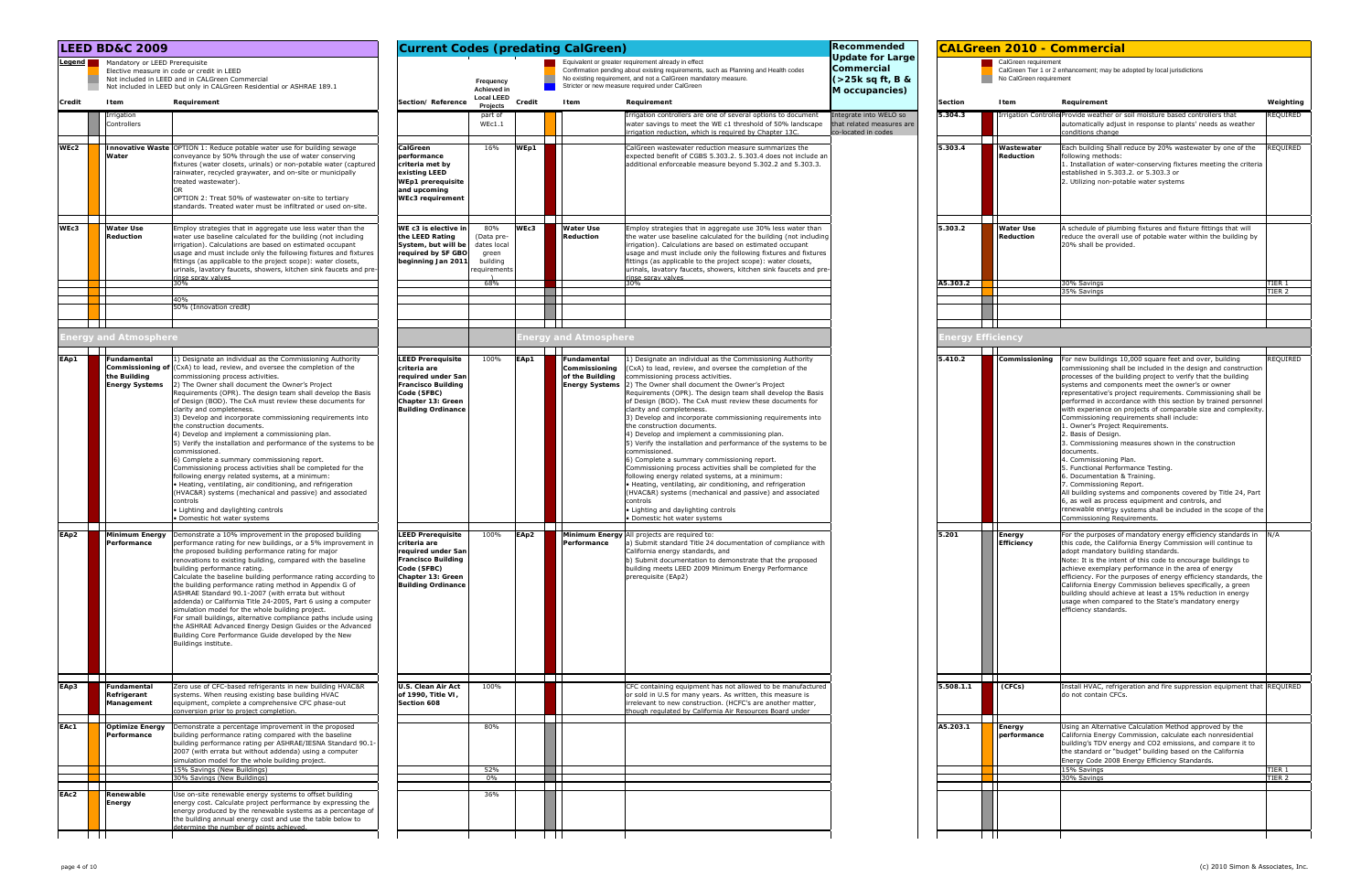|              | <b>LEED BD&amp;C 2009</b>                                                               |                                                                                                                                                                                                                                                                                                                                                                                                                                                                                                                                                                                                                                                                                                                                                                                                                                                                                                                                                                                                                                                                                          | <b>Current Codes (predating CalGreen)</b>                                                                                                                                                |                                                                      |              |                                                 |                                                                                                                                                                                                                                                                                                                                                                                                                                                                                                                                                                                                                                                                                                                                                                                                                                                                                                                                                                                                                                                             | Recommended                                                                 |                  | <b>CALGreen 2010 - Commercial</b>                |                                                                                                                                                                                                                                                                                                                                                                                                                                                                                                                                                                                                                                                                                                                                                                                                                                                                                                                                                                                                                                                               |
|--------------|-----------------------------------------------------------------------------------------|------------------------------------------------------------------------------------------------------------------------------------------------------------------------------------------------------------------------------------------------------------------------------------------------------------------------------------------------------------------------------------------------------------------------------------------------------------------------------------------------------------------------------------------------------------------------------------------------------------------------------------------------------------------------------------------------------------------------------------------------------------------------------------------------------------------------------------------------------------------------------------------------------------------------------------------------------------------------------------------------------------------------------------------------------------------------------------------|------------------------------------------------------------------------------------------------------------------------------------------------------------------------------------------|----------------------------------------------------------------------|--------------|-------------------------------------------------|-------------------------------------------------------------------------------------------------------------------------------------------------------------------------------------------------------------------------------------------------------------------------------------------------------------------------------------------------------------------------------------------------------------------------------------------------------------------------------------------------------------------------------------------------------------------------------------------------------------------------------------------------------------------------------------------------------------------------------------------------------------------------------------------------------------------------------------------------------------------------------------------------------------------------------------------------------------------------------------------------------------------------------------------------------------|-----------------------------------------------------------------------------|------------------|--------------------------------------------------|---------------------------------------------------------------------------------------------------------------------------------------------------------------------------------------------------------------------------------------------------------------------------------------------------------------------------------------------------------------------------------------------------------------------------------------------------------------------------------------------------------------------------------------------------------------------------------------------------------------------------------------------------------------------------------------------------------------------------------------------------------------------------------------------------------------------------------------------------------------------------------------------------------------------------------------------------------------------------------------------------------------------------------------------------------------|
|              | Legend Mandatory or LEED Prerequisite                                                   | Elective measure in code or credit in LEED<br>Not included in LEED and in CALGreen Commercial<br>Not included in LEED but only in CALGreen Residential or ASHRAE 189.1                                                                                                                                                                                                                                                                                                                                                                                                                                                                                                                                                                                                                                                                                                                                                                                                                                                                                                                   |                                                                                                                                                                                          | Frequency<br>Achieved in                                             |              |                                                 | Equivalent or greater requirement already in effect<br>Confirmation pending about existing requirements, such as Planning and Health codes<br>No existing requirement, and not a CalGreen mandatory measure.<br>Stricter or new measure required under CalGreen                                                                                                                                                                                                                                                                                                                                                                                                                                                                                                                                                                                                                                                                                                                                                                                             | <b>Jpdate for Large</b><br>Commercial<br>(>25k sq ft, B &<br>M occupancies) |                  | CalGreen requirement<br>No CalGreen requirement  | CalGreen Tier 1 or 2 enhancement; may be adopted by local jurisdictions                                                                                                                                                                                                                                                                                                                                                                                                                                                                                                                                                                                                                                                                                                                                                                                                                                                                                                                                                                                       |
| Credit       | Item                                                                                    | Requirement                                                                                                                                                                                                                                                                                                                                                                                                                                                                                                                                                                                                                                                                                                                                                                                                                                                                                                                                                                                                                                                                              | Section/Reference                                                                                                                                                                        | <b>Local LEED</b><br>Projects                                        | Credit       | Item                                            | Requirement                                                                                                                                                                                                                                                                                                                                                                                                                                                                                                                                                                                                                                                                                                                                                                                                                                                                                                                                                                                                                                                 |                                                                             | <b>Section</b>   | <b>I</b> tem                                     | Requirement<br>Weighting                                                                                                                                                                                                                                                                                                                                                                                                                                                                                                                                                                                                                                                                                                                                                                                                                                                                                                                                                                                                                                      |
|              | Irrigation<br>Controllers                                                               |                                                                                                                                                                                                                                                                                                                                                                                                                                                                                                                                                                                                                                                                                                                                                                                                                                                                                                                                                                                                                                                                                          |                                                                                                                                                                                          | part of<br>WEC1.1                                                    |              |                                                 | Irrigation controllers are one of several options to document<br>water savings to meet the WE c1 threshold of 50% landscape<br>irrigation reduction, which is required by Chapter 13C.                                                                                                                                                                                                                                                                                                                                                                                                                                                                                                                                                                                                                                                                                                                                                                                                                                                                      | Integrate into WELO so<br>that related measures are<br>co-located in codes  | 5.304.3          |                                                  | REQUIRED<br>Irrigation Controlle Provide weather or soil moisture based controllers that<br>automatically adjust in response to plants' needs as weather<br>conditions change                                                                                                                                                                                                                                                                                                                                                                                                                                                                                                                                                                                                                                                                                                                                                                                                                                                                                 |
| WEc2         | Water                                                                                   | Innovative Waste OPTION 1: Reduce potable water use for building sewage<br>conveyance by 50% through the use of water conserving<br>fixtures (water closets, urinals) or non-potable water (captured<br>rainwater, recycled graywater, and on-site or municipally<br>treated wastewater).<br>OPTION 2: Treat 50% of wastewater on-site to tertiary<br>standards. Treated water must be infiltrated or used on-site.                                                                                                                                                                                                                                                                                                                                                                                                                                                                                                                                                                                                                                                                      | CalGreen<br>performance<br>criteria met by<br>existing LEED<br><b>WEp1</b> prerequisite<br>and upcoming<br><b>WEc3</b> requirement                                                       | 16%                                                                  | WEp1         |                                                 | CalGreen wastewater reduction measure summarizes the<br>expected benefit of CGBS 5.303.2. 5.303.4 does not include an<br>additional enforceable measure beyond 5.302.2 and 5.303.3.                                                                                                                                                                                                                                                                                                                                                                                                                                                                                                                                                                                                                                                                                                                                                                                                                                                                         |                                                                             | 5.303.4          | $\blacksquare$<br>Wastewater<br><b>Reduction</b> | REQUIRED<br>Each building Shall reduce by 20% wastewater by one of the<br>following methods:<br>1. Installation of water-conserving fixtures meeting the criteria<br>established in 5.303.2. or 5.303.3 or<br>2. Utilizing non-potable water systems                                                                                                                                                                                                                                                                                                                                                                                                                                                                                                                                                                                                                                                                                                                                                                                                          |
| WEc3         | <b>Water Use</b><br>Reduction                                                           | Employ strategies that in aggregate use less water than the<br>water use baseline calculated for the building (not including<br>irrigation). Calculations are based on estimated occupant<br>usage and must include only the following fixtures and fixtures<br>fittings (as applicable to the project scope): water closets,<br>urinals, lavatory faucets, showers, kitchen sink faucets and pre<br>inse snrav valves                                                                                                                                                                                                                                                                                                                                                                                                                                                                                                                                                                                                                                                                   | WE c3 is elective in<br>the LEED Rating<br>System, but will be<br>required by SF GBO<br>beginning Jan 2011                                                                               | 80%<br>(Data pre-<br>dates local<br>green<br>building<br>equirements | WEc3         | <b>Water Use</b><br>Reduction                   | Employ strategies that in aggregate use 30% less water than<br>the water use baseline calculated for the building (not including<br>irrigation). Calculations are based on estimated occupant<br>usage and must include only the following fixtures and fixtures<br>fittings (as applicable to the project scope): water closets,<br>urinals, lavatory faucets, showers, kitchen sink faucets and pre<br>inse snrav valves                                                                                                                                                                                                                                                                                                                                                                                                                                                                                                                                                                                                                                  |                                                                             | 5.303.2          | <b>Water Use</b><br>Reduction                    | A schedule of plumbing fixtures and fixture fittings that will<br>reduce the overall use of potable water within the building by<br>20% shall be provided.                                                                                                                                                                                                                                                                                                                                                                                                                                                                                                                                                                                                                                                                                                                                                                                                                                                                                                    |
|              |                                                                                         | 30%<br>40%                                                                                                                                                                                                                                                                                                                                                                                                                                                                                                                                                                                                                                                                                                                                                                                                                                                                                                                                                                                                                                                                               |                                                                                                                                                                                          | 68%                                                                  |              |                                                 | 30%                                                                                                                                                                                                                                                                                                                                                                                                                                                                                                                                                                                                                                                                                                                                                                                                                                                                                                                                                                                                                                                         |                                                                             | A5.303.2         |                                                  | TIER 1<br>30% Savings<br>35% Savings<br>TIER 2                                                                                                                                                                                                                                                                                                                                                                                                                                                                                                                                                                                                                                                                                                                                                                                                                                                                                                                                                                                                                |
| $\mathbf{1}$ |                                                                                         | 50% (Innovation credit)                                                                                                                                                                                                                                                                                                                                                                                                                                                                                                                                                                                                                                                                                                                                                                                                                                                                                                                                                                                                                                                                  |                                                                                                                                                                                          |                                                                      |              |                                                 |                                                                                                                                                                                                                                                                                                                                                                                                                                                                                                                                                                                                                                                                                                                                                                                                                                                                                                                                                                                                                                                             |                                                                             |                  |                                                  |                                                                                                                                                                                                                                                                                                                                                                                                                                                                                                                                                                                                                                                                                                                                                                                                                                                                                                                                                                                                                                                               |
|              | nergy and Atmosphere                                                                    |                                                                                                                                                                                                                                                                                                                                                                                                                                                                                                                                                                                                                                                                                                                                                                                                                                                                                                                                                                                                                                                                                          |                                                                                                                                                                                          |                                                                      |              | nergy and Atmosphere                            |                                                                                                                                                                                                                                                                                                                                                                                                                                                                                                                                                                                                                                                                                                                                                                                                                                                                                                                                                                                                                                                             |                                                                             |                  | Energy Efficiency                                |                                                                                                                                                                                                                                                                                                                                                                                                                                                                                                                                                                                                                                                                                                                                                                                                                                                                                                                                                                                                                                                               |
| EAp1<br>EAp2 | Fundamental<br>the Building<br><b>Energy Systems</b><br><b>Contract Contract Street</b> | 1) Designate an individual as the Commissioning Authority<br><b>Commissioning of (CxA) to lead, review, and oversee the completion of the</b><br>commissioning process activities.<br>2) The Owner shall document the Owner's Project<br>Requirements (OPR). The design team shall develop the Basis<br>of Design (BOD). The CxA must review these documents for<br>clarity and completeness.<br>3) Develop and incorporate commissioning requirements into<br>the construction documents.<br>4) Develop and implement a commissioning plan.<br>5) Verify the installation and performance of the systems to be<br>commissioned.<br>6) Complete a summary commissioning report.<br>Commissioning process activities shall be completed for the<br>following energy related systems, at a minimum:<br>• Heating, ventilating, air conditioning, and refrigeration<br>(HVAC&R) systems (mechanical and passive) and associated<br>controls<br>• Lighting and daylighting controls<br>· Domestic hot water systems<br>Minimum Energy Demonstrate a 10% improvement in the proposed building | <b>LEED Prerequisite</b><br>criteria are<br>required under San<br><b>Francisco Building</b><br>Code (SFBC)<br>Chapter 13: Green<br><b>Building Ordinance</b><br><b>LEED Prerequisite</b> | 100%<br>100%                                                         | EAp1<br>EAp2 | Fundamental<br>Commissioning<br>of the Building | 1) Designate an individual as the Commissioning Authority<br>(CxA) to lead, review, and oversee the completion of the<br>commissioning process activities.<br><b>Energy Systems</b> 2) The Owner shall document the Owner's Project<br>Requirements (OPR). The design team shall develop the Basis<br>of Design (BOD). The CxA must review these documents for<br>clarity and completeness.<br>3) Develop and incorporate commissioning requirements into<br>the construction documents.<br>4) Develop and implement a commissioning plan.<br>5) Verify the installation and performance of the systems to be<br>commissioned.<br>6) Complete a summary commissioning report.<br>Commissioning process activities shall be completed for the<br>following energy related systems, at a minimum:<br>• Heating, ventilating, air conditioning, and refrigeration<br>(HVAC&R) systems (mechanical and passive) and associated<br>controls<br>Lighting and daylighting controls<br>· Domestic hot water systems<br>Minimum Energy All projects are required to: |                                                                             | 5.410.2<br>5.201 | Commissioning<br>Energy                          | REQUIRED<br>For new buildings 10,000 square feet and over, building<br>commissioning shall be included in the design and construction<br>processes of the building project to verify that the building<br>systems and components meet the owner's or owner<br>representative's project requirements. Commissioning shall be<br>performed in accordance with this section by trained personnel<br>with experience on projects of comparable size and complexity<br>Commissioning requirements shall include:<br>1. Owner's Project Requirements.<br>2. Basis of Design.<br>3. Commissioning measures shown in the construction<br>documents.<br>4. Commissioning Plan.<br>5. Functional Performance Testing.<br>6. Documentation & Training<br>7. Commissioning Report.<br>All building systems and components covered by Title 24, Part<br>6, as well as process equipment and controls, and<br>renewable energy systems shall be included in the scope of the<br>Commissioning Requirements.<br>For the purposes of mandatory energy efficiency standards in |
|              | ertormance                                                                              | performance rating for new buildings, or a 5% improvement in<br>the proposed building performance rating for major<br>renovations to existing building, compared with the baseline<br>building performance rating.<br>Calculate the baseline building performance rating according to<br>the building performance rating method in Appendix G of<br>ASHRAE Standard 90.1-2007 (with errata but without<br>addenda) or California Title 24-2005, Part 6 using a computer<br>simulation model for the whole building project.<br>For small buildings, alternative compliance paths include using<br>the ASHRAE Advanced Energy Design Guides or the Advanced<br>Building Core Performance Guide developed by the New<br>Buildings institute.                                                                                                                                                                                                                                                                                                                                               | criteria are<br>required under San<br><b>Francisco Building</b><br>Code (SFBC)<br>Chapter 13: Green<br><b>Building Ordinance</b>                                                         |                                                                      |              | 'ertormance                                     | a) Submit standard Title 24 documentation of compliance with<br>California energy standards, and<br>b) Submit documentation to demonstrate that the proposed<br>building meets LEED 2009 Minimum Energy Performance<br>prerequisite (EAp2)                                                                                                                                                                                                                                                                                                                                                                                                                                                                                                                                                                                                                                                                                                                                                                                                                  |                                                                             |                  | <b>Efficiency</b>                                | this code, the California Energy Commission will continue to<br>adopt mandatory building standards.<br>Note: It is the intent of this code to encourage buildings to<br>achieve exemplary performance in the area of energy<br>efficiency. For the purposes of energy efficiency standards, the<br>California Energy Commission believes specifically, a green<br>building should achieve at least a 15% reduction in energy<br>usage when compared to the State's mandatory energy<br>efficiency standards.                                                                                                                                                                                                                                                                                                                                                                                                                                                                                                                                                  |
| EAp3         | Fundamenta<br>Refrigerant<br>Management                                                 | Zero use of CFC-based refrigerants in new building HVAC&R<br>systems. When reusing existing base building HVAC<br>equipment, complete a comprehensive CFC phase-out<br>onversion prior to project completion.                                                                                                                                                                                                                                                                                                                                                                                                                                                                                                                                                                                                                                                                                                                                                                                                                                                                            | U.S. Clean Air Act<br>of 1990, Title VI,<br>Section 608                                                                                                                                  | 100%                                                                 |              |                                                 | CFC containing equipment has not allowed to be manufactured<br>or sold in U.S for many years. As written, this measure is<br>irrelevant to new construction. (HCFC's are another matter,<br>hough regulated by California Air Resources Board under                                                                                                                                                                                                                                                                                                                                                                                                                                                                                                                                                                                                                                                                                                                                                                                                         |                                                                             | 5.508.1.1        | (CFCs)                                           | Install HVAC, refrigeration and fire suppression equipment that REQUIRED<br>do not contain CFCs.                                                                                                                                                                                                                                                                                                                                                                                                                                                                                                                                                                                                                                                                                                                                                                                                                                                                                                                                                              |
| EAc1         | <b>Optimize Energy</b><br>Performance                                                   | Demonstrate a percentage improvement in the proposed<br>building performance rating compared with the baseline<br>building performance rating per ASHRAE/IESNA Standard 90.1<br>2007 (with errata but without addenda) using a computer<br>simulation model for the whole building project.<br>15% Savings (New Buildings)<br>30% Savings (New Buildings)                                                                                                                                                                                                                                                                                                                                                                                                                                                                                                                                                                                                                                                                                                                                |                                                                                                                                                                                          | 80%<br>52%<br>$0\%$                                                  |              |                                                 |                                                                                                                                                                                                                                                                                                                                                                                                                                                                                                                                                                                                                                                                                                                                                                                                                                                                                                                                                                                                                                                             |                                                                             | A5.203.1         | Energy<br>performance                            | Using an Alternative Calculation Method approved by the<br>California Energy Commission, calculate each nonresidential<br>building's TDV energy and CO2 emissions, and compare it to<br>the standard or "budget" building based on the California<br>Energy Code 2008 Energy Efficiency Standards.<br>15% Savings<br>TIER 1<br>30% Savings<br>TIER <sub>2</sub>                                                                                                                                                                                                                                                                                                                                                                                                                                                                                                                                                                                                                                                                                               |
| EAc2         | Renewable<br>Energy                                                                     | Use on-site renewable energy systems to offset building<br>energy cost. Calculate project performance by expressing the<br>energy produced by the renewable systems as a percentage of<br>the building annual energy cost and use the table below to<br>etermine the number of noints achieved                                                                                                                                                                                                                                                                                                                                                                                                                                                                                                                                                                                                                                                                                                                                                                                           |                                                                                                                                                                                          | 36%                                                                  |              |                                                 |                                                                                                                                                                                                                                                                                                                                                                                                                                                                                                                                                                                                                                                                                                                                                                                                                                                                                                                                                                                                                                                             |                                                                             |                  |                                                  |                                                                                                                                                                                                                                                                                                                                                                                                                                                                                                                                                                                                                                                                                                                                                                                                                                                                                                                                                                                                                                                               |

|                            | <b>CALGreen 2010 - Commercial</b>               |                                                                                                                                                                                                                                                                                                                                                                                                                                                                                                                                                                                                                                                                                                                                                                                                                                                                                                                                                                                            |                  |
|----------------------------|-------------------------------------------------|--------------------------------------------------------------------------------------------------------------------------------------------------------------------------------------------------------------------------------------------------------------------------------------------------------------------------------------------------------------------------------------------------------------------------------------------------------------------------------------------------------------------------------------------------------------------------------------------------------------------------------------------------------------------------------------------------------------------------------------------------------------------------------------------------------------------------------------------------------------------------------------------------------------------------------------------------------------------------------------------|------------------|
|                            | CalGreen requirement<br>No CalGreen requirement | CalGreen Tier 1 or 2 enhancement; may be adopted by local jurisdictions                                                                                                                                                                                                                                                                                                                                                                                                                                                                                                                                                                                                                                                                                                                                                                                                                                                                                                                    |                  |
| Section                    | Item                                            | Requirement                                                                                                                                                                                                                                                                                                                                                                                                                                                                                                                                                                                                                                                                                                                                                                                                                                                                                                                                                                                | Weighting        |
| 5.304.3                    |                                                 | Irrigation Controlle Provide weather or soil moisture based controllers that<br>automatically adjust in response to plants' needs as weather<br>conditions change                                                                                                                                                                                                                                                                                                                                                                                                                                                                                                                                                                                                                                                                                                                                                                                                                          | REQUIRED         |
| 5.303.4                    | Wastewater                                      | Each building Shall reduce by 20% wastewater by one of the                                                                                                                                                                                                                                                                                                                                                                                                                                                                                                                                                                                                                                                                                                                                                                                                                                                                                                                                 | REQUIRED         |
|                            | Reduction                                       | following methods:<br>1. Installation of water-conserving fixtures meeting the criteria<br>established in 5.303.2. or 5.303.3 or<br>2. Utilizing non-potable water systems                                                                                                                                                                                                                                                                                                                                                                                                                                                                                                                                                                                                                                                                                                                                                                                                                 |                  |
| 5.303.2                    | <b>Water Use</b>                                |                                                                                                                                                                                                                                                                                                                                                                                                                                                                                                                                                                                                                                                                                                                                                                                                                                                                                                                                                                                            |                  |
|                            | Reduction                                       | A schedule of plumbing fixtures and fixture fittings that will<br>reduce the overall use of potable water within the building by<br>20% shall be provided.                                                                                                                                                                                                                                                                                                                                                                                                                                                                                                                                                                                                                                                                                                                                                                                                                                 |                  |
| A5.303.2                   |                                                 | 30% Savings<br>35% Savings                                                                                                                                                                                                                                                                                                                                                                                                                                                                                                                                                                                                                                                                                                                                                                                                                                                                                                                                                                 | TIER 1<br>TIER 2 |
|                            |                                                 |                                                                                                                                                                                                                                                                                                                                                                                                                                                                                                                                                                                                                                                                                                                                                                                                                                                                                                                                                                                            |                  |
| Energy Effici <u>enc</u> y |                                                 |                                                                                                                                                                                                                                                                                                                                                                                                                                                                                                                                                                                                                                                                                                                                                                                                                                                                                                                                                                                            |                  |
|                            |                                                 |                                                                                                                                                                                                                                                                                                                                                                                                                                                                                                                                                                                                                                                                                                                                                                                                                                                                                                                                                                                            |                  |
| 5.410.2                    | Commissioning                                   | For new buildings 10,000 square feet and over, building<br>commissioning shall be included in the design and construction<br>processes of the building project to verify that the building<br>systems and components meet the owner's or owner<br>representative's project requirements. Commissioning shall be<br>performed in accordance with this section by trained personnel<br>with experience on projects of comparable size and complexity.<br>Commissioning requirements shall include:<br>1. Owner's Project Requirements.<br>2. Basis of Design.<br>3. Commissioning measures shown in the construction<br>documents.<br>4. Commissioning Plan.<br>5. Functional Performance Testing.<br>6. Documentation & Training.<br>7. Commissioning Report.<br>All building systems and components covered by Title 24, Part<br>6, as well as process equipment and controls, and<br>renewable energy systems shall be included in the scope of the<br><u>Commissioning Requirements.</u> | REQUIRED         |
| 5.201                      | Energy<br>Efficiency                            | For the purposes of mandatory energy efficiency standards in<br>this code, the California Energy Commission will continue to<br>adopt mandatory building standards.<br>Note: It is the intent of this code to encourage buildings to<br>achieve exemplary performance in the area of energy<br>efficiency. For the purposes of energy efficiency standards, the<br>California Energy Commission believes specifically, a green<br>building should achieve at least a 15% reduction in energy<br>usage when compared to the State's mandatory energy<br>efficiency standards.                                                                                                                                                                                                                                                                                                                                                                                                               | N/A              |
| 5.508.1.1                  | (CFCs)                                          | Install HVAC, refrigeration and fire suppression equipment that   REQUIRED<br>do not contain CFCs.                                                                                                                                                                                                                                                                                                                                                                                                                                                                                                                                                                                                                                                                                                                                                                                                                                                                                         |                  |
| A5.203.1                   | Energy<br>performance                           | Using an Alternative Calculation Method approved by the<br>California Energy Commission, calculate each nonresidential<br>building's TDV energy and CO2 emissions, and compare it to<br>the standard or "budget" building based on the California<br>Energy Code 2008 Energy Efficiency Standards.<br>15% Savings<br>30% Savings                                                                                                                                                                                                                                                                                                                                                                                                                                                                                                                                                                                                                                                           | TIER 1<br>TIER 2 |
|                            |                                                 |                                                                                                                                                                                                                                                                                                                                                                                                                                                                                                                                                                                                                                                                                                                                                                                                                                                                                                                                                                                            |                  |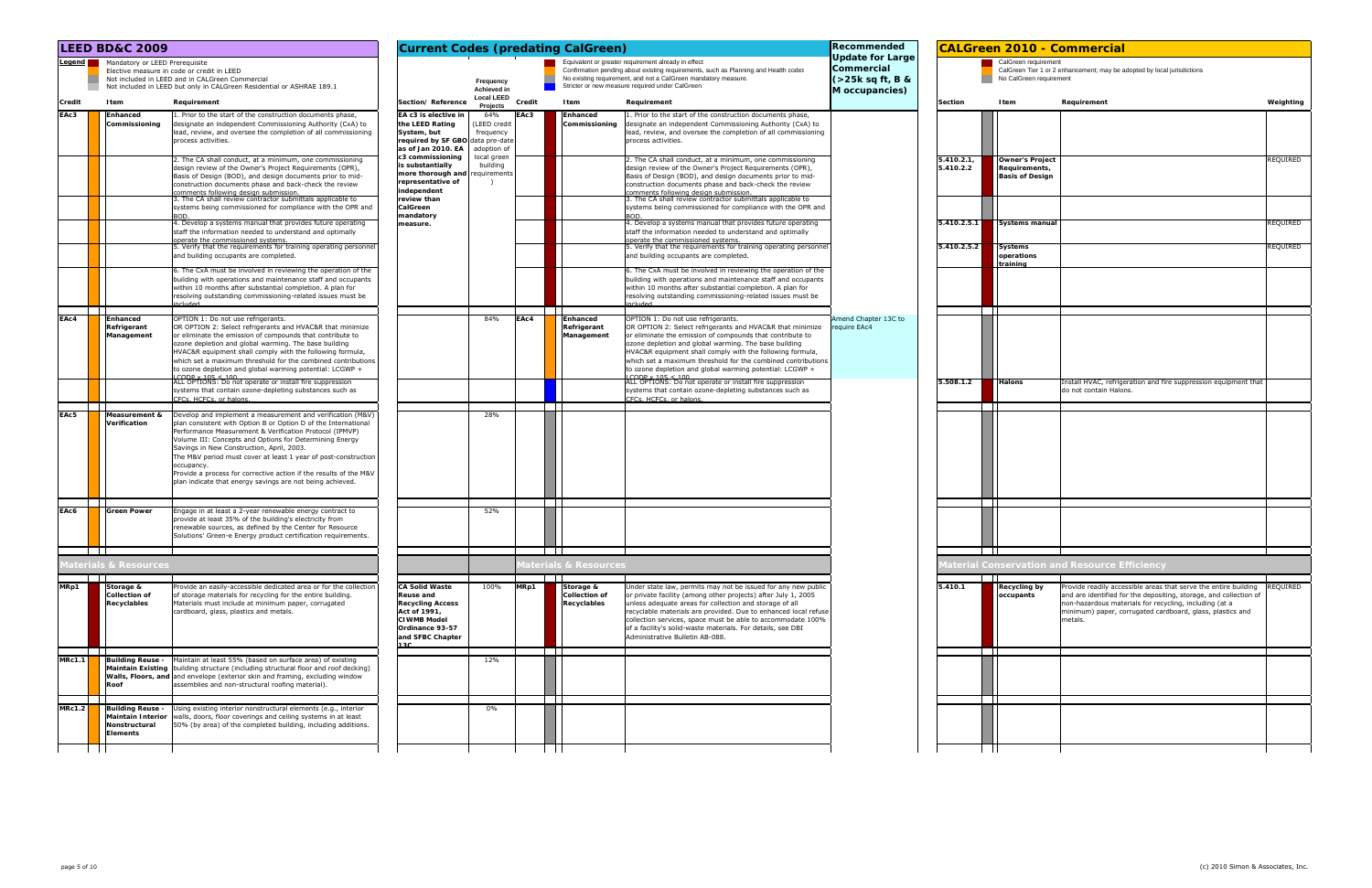|                         |                |                                                 | <b>CALGreen 2010 - Commercial</b>                                                                                                    |           |
|-------------------------|----------------|-------------------------------------------------|--------------------------------------------------------------------------------------------------------------------------------------|-----------|
|                         |                | CalGreen requirement<br>No CalGreen requirement | CalGreen Tier 1 or 2 enhancement; may be adopted by local jurisdictions                                                              |           |
| Section                 |                | Item                                            | Requirement                                                                                                                          | Weighting |
|                         |                |                                                 |                                                                                                                                      |           |
|                         |                |                                                 |                                                                                                                                      |           |
|                         |                |                                                 |                                                                                                                                      |           |
| 5.410.2.1,<br>5.410.2.2 |                | <b>Owner's Project</b><br>Requirements,         |                                                                                                                                      | REQUIRED  |
|                         |                | <b>Basis of Design</b>                          |                                                                                                                                      |           |
|                         |                |                                                 |                                                                                                                                      |           |
|                         |                |                                                 |                                                                                                                                      |           |
| 5.410.2.5.1             |                | Systems manual                                  |                                                                                                                                      | REQUIRED  |
|                         |                |                                                 |                                                                                                                                      |           |
| 5.410.2.5.2             |                | <b>Systems</b><br>operations                    |                                                                                                                                      | REQUIRED  |
|                         |                | training                                        |                                                                                                                                      |           |
|                         |                |                                                 |                                                                                                                                      |           |
|                         |                |                                                 |                                                                                                                                      |           |
|                         |                |                                                 |                                                                                                                                      |           |
|                         |                |                                                 |                                                                                                                                      |           |
|                         |                |                                                 |                                                                                                                                      |           |
|                         |                |                                                 |                                                                                                                                      |           |
|                         |                |                                                 |                                                                                                                                      |           |
| 5.508.1.2               |                | Halons                                          | Install HVAC, refrigeration and fire suppression equipment that                                                                      |           |
|                         |                |                                                 | do not contain Halons.                                                                                                               |           |
|                         |                |                                                 |                                                                                                                                      |           |
|                         |                |                                                 |                                                                                                                                      |           |
|                         |                |                                                 |                                                                                                                                      |           |
|                         |                |                                                 |                                                                                                                                      |           |
|                         |                |                                                 |                                                                                                                                      |           |
|                         |                |                                                 |                                                                                                                                      |           |
|                         |                |                                                 |                                                                                                                                      |           |
|                         |                |                                                 |                                                                                                                                      |           |
|                         |                |                                                 |                                                                                                                                      |           |
|                         |                |                                                 |                                                                                                                                      |           |
|                         |                |                                                 | Material Conservation and Resource Efficiency                                                                                        |           |
|                         |                |                                                 |                                                                                                                                      |           |
| 5.410.1                 |                | Recycling by<br>occupants                       | Provide readily accessible areas that serve the entire building<br>and are identified for the depositing, storage, and collection of | REQUIRED  |
|                         |                |                                                 | non-hazardous materials for recycling, including (at a                                                                               |           |
|                         |                |                                                 | minimum) paper, corrugated cardboard, glass, plastics and<br>metals.                                                                 |           |
|                         |                |                                                 |                                                                                                                                      |           |
|                         |                |                                                 |                                                                                                                                      |           |
|                         |                |                                                 |                                                                                                                                      |           |
|                         |                |                                                 |                                                                                                                                      |           |
|                         |                |                                                 |                                                                                                                                      |           |
|                         |                |                                                 |                                                                                                                                      |           |
|                         |                |                                                 |                                                                                                                                      |           |
|                         |                |                                                 |                                                                                                                                      |           |
|                         | $\blacksquare$ |                                                 |                                                                                                                                      |           |

|        | <b>LEED BD&amp;C 2009</b>                        |                                                                                                                                                                                                                                                                                                                                                                                                                                                                                                                   | <b>Current Codes (predating CalGreen)</b><br>Equivalent or greater requirement already in effect                                                  |                                                |        |                                                  |                                                                                                                                                                                                                                                                                                                                                                                                                                                    |                                                                                |                         |                                                                   | <b>CALGreen 2010 - Commercial</b>                                                                                                                                                                                                                                      |                 |
|--------|--------------------------------------------------|-------------------------------------------------------------------------------------------------------------------------------------------------------------------------------------------------------------------------------------------------------------------------------------------------------------------------------------------------------------------------------------------------------------------------------------------------------------------------------------------------------------------|---------------------------------------------------------------------------------------------------------------------------------------------------|------------------------------------------------|--------|--------------------------------------------------|----------------------------------------------------------------------------------------------------------------------------------------------------------------------------------------------------------------------------------------------------------------------------------------------------------------------------------------------------------------------------------------------------------------------------------------------------|--------------------------------------------------------------------------------|-------------------------|-------------------------------------------------------------------|------------------------------------------------------------------------------------------------------------------------------------------------------------------------------------------------------------------------------------------------------------------------|-----------------|
|        | Legend Mandatory or LEED Prerequisite            | Elective measure in code or credit in LEED<br>Not included in LEED and in CALGreen Commercial<br>Not included in LEED but only in CALGreen Residential or ASHRAE 189.1                                                                                                                                                                                                                                                                                                                                            |                                                                                                                                                   | Frequency<br>Achieved in<br><b>Local LEED</b>  |        |                                                  | Confirmation pending about existing requirements, such as Planning and Health codes<br>No existing requirement, and not a CalGreen mandatory measure.<br>Stricter or new measure required under CalGreen                                                                                                                                                                                                                                           | <b>Update for Large</b><br>Commercial<br>$($ >25k sq ft, B &<br>M occupancies) |                         | CalGreen requirement<br>No CalGreen requirement                   | CalGreen Tier 1 or 2 enhancement; may be adopted by local jurisdictions                                                                                                                                                                                                |                 |
| Credit | Item                                             | Requirement                                                                                                                                                                                                                                                                                                                                                                                                                                                                                                       | Section/Reference                                                                                                                                 | Projects                                       | Credit | Item                                             | Requirement                                                                                                                                                                                                                                                                                                                                                                                                                                        |                                                                                | <b>Section</b>          | <b>I</b> tem                                                      | Requirement                                                                                                                                                                                                                                                            | Weighting       |
| EAc3   | Enhanced<br>Commissioning                        | 1. Prior to the start of the construction documents phase,<br>designate an independent Commissioning Authority (CxA) to<br>lead, review, and oversee the completion of all commissioning<br>process activities.                                                                                                                                                                                                                                                                                                   | EA c3 is elective in<br>the LEED Rating<br>System, but<br>required by SF GBO data pre-date<br>as of Jan 2010. EA                                  | 64%<br>LEED credit<br>frequency<br>adoption of | EAc3   | Enhanced<br>Commissioning                        | 1. Prior to the start of the construction documents phase,<br>designate an independent Commissioning Authority (CxA) to<br>lead, review, and oversee the completion of all commissioning<br>process activities.                                                                                                                                                                                                                                    |                                                                                |                         |                                                                   |                                                                                                                                                                                                                                                                        |                 |
|        |                                                  | 2. The CA shall conduct, at a minimum, one commissioning<br>design review of the Owner's Project Requirements (OPR),<br>Basis of Design (BOD), and design documents prior to mid-<br>construction documents phase and back-check the review<br>comments following design submission.<br>3. The CA shall review contractor submittals applicable to                                                                                                                                                                | c3 commissioning<br>is substantially<br>nore thorough and requirements<br>representative of<br>independent<br>review than                         | local green<br>building                        |        |                                                  | 2. The CA shall conduct, at a minimum, one commissioning<br>design review of the Owner's Project Requirements (OPR),<br>Basis of Design (BOD), and design documents prior to mid-<br>construction documents phase and back-check the review<br>comments following design submission.<br>3. The CA shall review contractor submittals applicable to                                                                                                 |                                                                                | 5.410.2.1,<br>5.410.2.2 | <b>Owner's Project</b><br>Requirements,<br><b>Basis of Design</b> |                                                                                                                                                                                                                                                                        | REQUIRED        |
|        |                                                  | systems being commissioned for compliance with the OPR and<br>4. Develop a systems manual that provides future operating<br>staff the information needed to understand and optimally                                                                                                                                                                                                                                                                                                                              | CalGreen<br>mandatory<br>measure.                                                                                                                 |                                                |        |                                                  | systems being commissioned for compliance with the OPR and<br>BOD.<br>4. Develop a systems manual that provides future operating<br>staff the information needed to understand and optimally                                                                                                                                                                                                                                                       |                                                                                | 5.410.2.5.1             | <b>Systems manual</b>                                             |                                                                                                                                                                                                                                                                        | REQUIRED        |
|        |                                                  | operate the commissioned systems.<br>5. Verify that the requirements for training operating personne<br>and building occupants are completed.                                                                                                                                                                                                                                                                                                                                                                     |                                                                                                                                                   |                                                |        |                                                  | operate the commissioned systems.<br>5. Verify that the requirements for training operating personnel<br>and building occupants are completed.                                                                                                                                                                                                                                                                                                     |                                                                                | 5.410.2.5.2             | <b>Systems</b><br>operations<br>training                          |                                                                                                                                                                                                                                                                        | REQUIRED        |
|        |                                                  | 6. The CxA must be involved in reviewing the operation of the<br>building with operations and maintenance staff and occupants<br>within 10 months after substantial completion. A plan for<br>resolving outstanding commissioning-related issues must be                                                                                                                                                                                                                                                          |                                                                                                                                                   |                                                |        |                                                  | 6. The CxA must be involved in reviewing the operation of the<br>building with operations and maintenance staff and occupants<br>within 10 months after substantial completion. A plan for<br>resolving outstanding commissioning-related issues must be                                                                                                                                                                                           |                                                                                |                         | $\mathbf{1}$                                                      |                                                                                                                                                                                                                                                                        |                 |
| EAc4   | <b>Enhanced</b><br>Refrigerant<br>Management     | OPTION 1: Do not use refrigerants.<br>OR OPTION 2: Select refrigerants and HVAC&R that minimize<br>or eliminate the emission of compounds that contribute to<br>ozone depletion and global warming. The base building<br>HVAC&R equipment shall comply with the following formula,<br>which set a maximum threshold for the combined contributions<br>to ozone depletion and global warming potential: LCGWP +<br>$CODP$ $\times$ 105 $\times$ 100                                                                |                                                                                                                                                   | 84%                                            | EAc4   | <b>Enhanced</b><br>Refrigerant<br>Management     | OPTION 1: Do not use refrigerants.<br>OR OPTION 2: Select refrigerants and HVAC&R that minimize<br>or eliminate the emission of compounds that contribute to<br>ozone depletion and global warming. The base building<br>HVAC&R equipment shall comply with the following formula,<br>which set a maximum threshold for the combined contributions<br>to ozone depletion and global warming potential: LCGWP +<br>$CODP$ $\times$ 105 $\times$ 100 | Amend Chapter 13C to<br>reauire EAc4                                           |                         |                                                                   |                                                                                                                                                                                                                                                                        |                 |
|        |                                                  | ALL OPTIONS: Do not operate or install fire suppression<br>systems that contain ozone-depleting substances such as<br>CFCs. HCFCs. or halons                                                                                                                                                                                                                                                                                                                                                                      |                                                                                                                                                   |                                                |        |                                                  | ALL OPTIONS: Do not operate or install fire suppression<br>systems that contain ozone-depleting substances such as<br>CFCs, HCFCs, or halons                                                                                                                                                                                                                                                                                                       |                                                                                | 5.508.1.2               | <b>Halons</b><br>$\mathbf{1}$                                     | Install HVAC, refrigeration and fire suppression equipment that<br>do not contain Halons.                                                                                                                                                                              |                 |
| EAc5   | Measurement &<br>Verification                    | Develop and implement a measurement and verification (M&V)<br>plan consistent with Option B or Option D of the International<br>Performance Measurement & Verification Protocol (IPMVP)<br>Volume III: Concepts and Options for Determining Energy<br>Savings in New Construction, April, 2003.<br>The M&V period must cover at least 1 year of post-construction<br>occupancy.<br>Provide a process for corrective action if the results of the M&V<br>plan indicate that energy savings are not being achieved. |                                                                                                                                                   | 28%                                            |        |                                                  |                                                                                                                                                                                                                                                                                                                                                                                                                                                    |                                                                                |                         |                                                                   |                                                                                                                                                                                                                                                                        |                 |
| EAc6   | <b>Green Power</b>                               | Engage in at least a 2-year renewable energy contract to<br>provide at least 35% of the building's electricity from<br>renewable sources, as defined by the Center for Resource<br>Solutions' Green-e Energy product certification requirements.                                                                                                                                                                                                                                                                  |                                                                                                                                                   | 52%                                            |        | $\mathbf{I}$                                     |                                                                                                                                                                                                                                                                                                                                                                                                                                                    |                                                                                |                         | $\mathbf{1}$                                                      |                                                                                                                                                                                                                                                                        |                 |
|        | aterials & Resources                             |                                                                                                                                                                                                                                                                                                                                                                                                                                                                                                                   |                                                                                                                                                   |                                                |        | aterials & Resources                             |                                                                                                                                                                                                                                                                                                                                                                                                                                                    |                                                                                |                         |                                                                   | laterial Conservation and Resource Efficiency                                                                                                                                                                                                                          |                 |
| MRp1   | Storage &<br><b>Collection of</b><br>Recyclables | Provide an easily-accessible dedicated area or for the collection<br>of storage materials for recycling for the entire building.<br>Materials must include at minimum paper, corrugated<br>cardboard, glass, plastics and metals.                                                                                                                                                                                                                                                                                 | <b>CA Solid Waste</b><br>Reuse and<br><b>Recycling Access</b><br>Act of 1991,<br><b>CIWMB Model</b><br>Ordinance 93-57<br>and SFBC Chapter<br>120 | 100%                                           | MRp1   | Storage &<br><b>Collection of</b><br>Recyclables | Under state law, permits may not be issued for any new public<br>or private facility (among other projects) after July 1, 2005<br>unless adequate areas for collection and storage of all<br>recyclable materials are provided. Due to enhanced local refuse<br>collection services, space must be able to accommodate 100%<br>of a facility's solid-waste materials. For details, see DBI<br>Administrative Bulletin AB-088.                      |                                                                                | 5.410.1                 | <b>Recycling by</b><br>occupants                                  | Provide readily accessible areas that serve the entire building<br>and are identified for the depositing, storage, and collection of<br>non-hazardous materials for recycling, including (at a<br>minimum) paper, corrugated cardboard, glass, plastics and<br>metals. | <b>REQUIRED</b> |
| MRC1.1 | Roof                                             | Building Reuse - Maintain at least 55% (based on surface area) of existing<br>Maintain Existing   building structure (including structural floor and roof decking)<br>Walls, Floors, and and envelope (exterior skin and framing, excluding window<br>assemblies and non-structural roofing material).                                                                                                                                                                                                            |                                                                                                                                                   | 12%                                            |        |                                                  |                                                                                                                                                                                                                                                                                                                                                                                                                                                    |                                                                                |                         | $\Box$                                                            |                                                                                                                                                                                                                                                                        |                 |
| MRc1.2 | Nonstructural<br><b>Elements</b>                 | <b>Building Reuse -</b> Using existing interior nonstructural elements (e.g., interior<br>Maintain Interior   walls, doors, floor coverings and ceiling systems in at least<br>50% (by area) of the completed building, including additions.                                                                                                                                                                                                                                                                      |                                                                                                                                                   | 0%                                             |        |                                                  |                                                                                                                                                                                                                                                                                                                                                                                                                                                    |                                                                                |                         | and the property                                                  |                                                                                                                                                                                                                                                                        |                 |
|        |                                                  |                                                                                                                                                                                                                                                                                                                                                                                                                                                                                                                   |                                                                                                                                                   |                                                |        |                                                  |                                                                                                                                                                                                                                                                                                                                                                                                                                                    |                                                                                |                         |                                                                   |                                                                                                                                                                                                                                                                        |                 |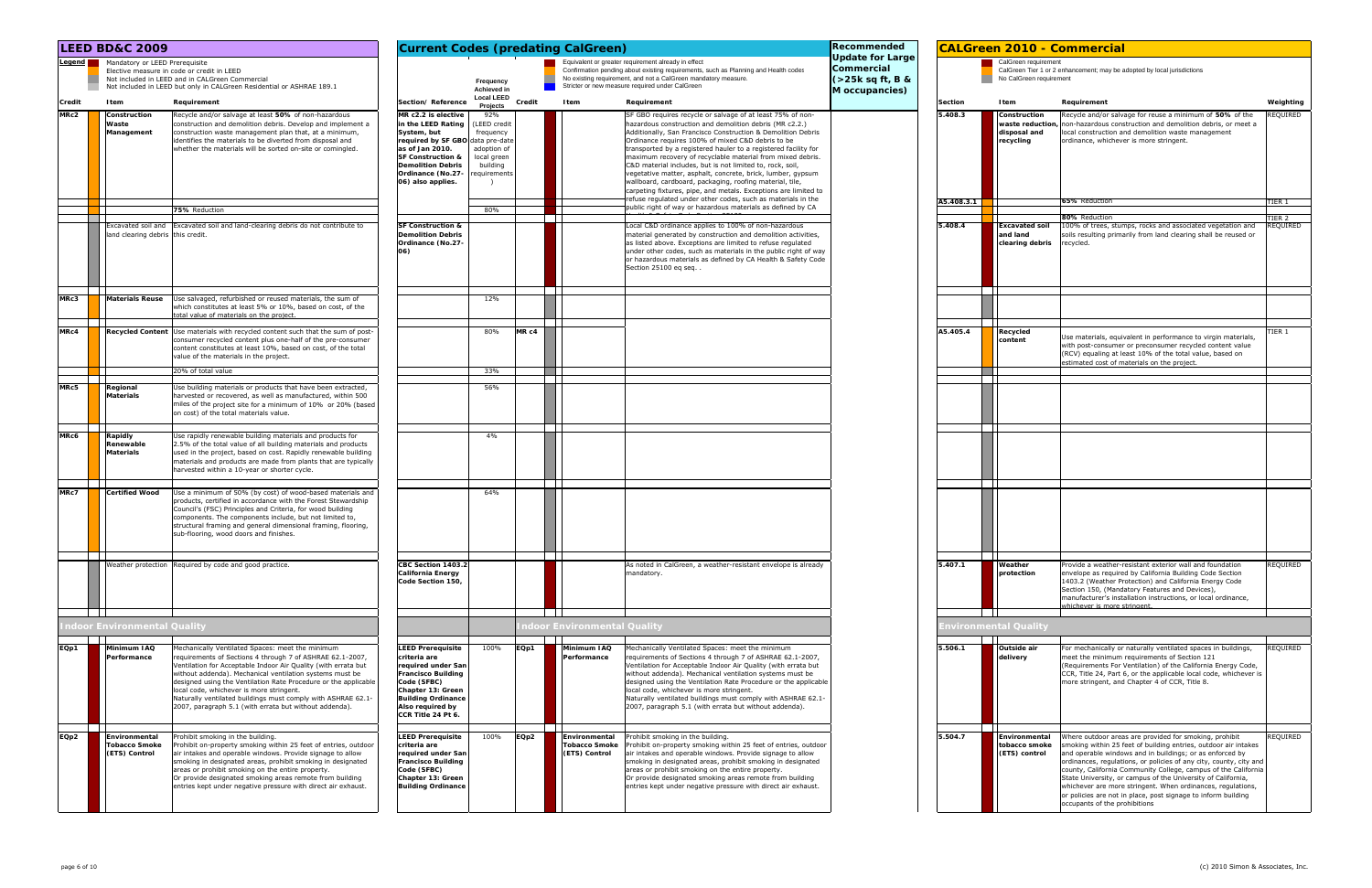|                 | <b>LEED BD&amp;C 2009</b>                                                                                                                                                                                                                                                                                                                                                                                                                                                                                          | <b>Current Codes (predating CalGreen)</b>                                                                                                                                                                                                                                                                                 | Recommended                                                                                                                                                              |                                                                                                                                                                                                                                                                                                                                                                                                                                                                                                                                                                                                                                                                                                                                                                       |                                                                                      | <b>CALGreen 2010 - Commercial</b> |                                                              |                                                                                                                                                                                                                                                                                                                                                                                                                                                                                                                                                                |                              |
|-----------------|--------------------------------------------------------------------------------------------------------------------------------------------------------------------------------------------------------------------------------------------------------------------------------------------------------------------------------------------------------------------------------------------------------------------------------------------------------------------------------------------------------------------|---------------------------------------------------------------------------------------------------------------------------------------------------------------------------------------------------------------------------------------------------------------------------------------------------------------------------|--------------------------------------------------------------------------------------------------------------------------------------------------------------------------|-----------------------------------------------------------------------------------------------------------------------------------------------------------------------------------------------------------------------------------------------------------------------------------------------------------------------------------------------------------------------------------------------------------------------------------------------------------------------------------------------------------------------------------------------------------------------------------------------------------------------------------------------------------------------------------------------------------------------------------------------------------------------|--------------------------------------------------------------------------------------|-----------------------------------|--------------------------------------------------------------|----------------------------------------------------------------------------------------------------------------------------------------------------------------------------------------------------------------------------------------------------------------------------------------------------------------------------------------------------------------------------------------------------------------------------------------------------------------------------------------------------------------------------------------------------------------|------------------------------|
| Legend <b>N</b> | Mandatory or LEED Prerequisite<br>Elective measure in code or credit in LEED<br>Not included in LEED and in CALGreen Commercial<br>Not included in LEED but only in CALGreen Residential or ASHRAE 189.1                                                                                                                                                                                                                                                                                                           | Frequency<br><b>Achieved</b> in                                                                                                                                                                                                                                                                                           | Equivalent or greater requirement already in effect<br>No existing requirement, and not a CalGreen mandatory measure.<br>Stricter or new measure required under CalGreen | Confirmation pending about existing requirements, such as Planning and Health codes                                                                                                                                                                                                                                                                                                                                                                                                                                                                                                                                                                                                                                                                                   | <b>Update for Large</b><br>Commercial<br>$\left( > 25k$ sq ft, B &<br>M occupancies) |                                   | CalGreen requirement<br>No CalGreen requirement              | CalGreen Tier 1 or 2 enhancement; may be adopted by local jurisdictions                                                                                                                                                                                                                                                                                                                                                                                                                                                                                        |                              |
| Credit          | Item<br>Requirement                                                                                                                                                                                                                                                                                                                                                                                                                                                                                                | <b>Local LEED</b><br>Section/Reference<br>Credit<br>Projects                                                                                                                                                                                                                                                              | Item<br>Requirement                                                                                                                                                      |                                                                                                                                                                                                                                                                                                                                                                                                                                                                                                                                                                                                                                                                                                                                                                       |                                                                                      | <b>Section</b>                    | Item                                                         | Requirement                                                                                                                                                                                                                                                                                                                                                                                                                                                                                                                                                    | Weighting                    |
| MRc2            | Recycle and/or salvage at least 50% of non-hazardous<br>Construction<br>construction and demolition debris. Develop and implement a<br>Waste<br>Management<br>construction waste management plan that, at a minimum,<br>identifies the materials to be diverted from disposal and<br>whether the materials will be sorted on-site or comingled.<br>75% Reduction                                                                                                                                                   | MR c2.2 is elective<br>92%<br>in the LEED Rating<br>LEED credit<br>System, but<br>frequency<br>required by SF GBO data pre-date<br>as of Jan 2010.<br>adoption of<br><b>SF Construction &amp;</b><br>local green<br><b>Demolition Debris</b><br>building<br>Ordinance (No.27-<br>requirements<br>06) also applies.<br>80% |                                                                                                                                                                          | SF GBO requires recycle or salvage of at least 75% of non-<br>hazardous construction and demolition debris (MR c2.2.)<br>Additionally, San Francisco Construction & Demolition Debris<br>Ordinance requires 100% of mixed C&D debris to be<br>transported by a registered hauler to a registered facility for<br>maximum recovery of recyclable material from mixed debris.<br>C&D material includes, but is not limited to, rock, soil,<br>vegetative matter, asphalt, concrete, brick, lumber, gypsum<br>wallboard, cardboard, packaging, roofing material, tile,<br>carpeting fixtures, pipe, and metals. Exceptions are limited to<br>refuse regulated under other codes, such as materials in the<br>public right of way or hazardous materials as defined by CA |                                                                                      | 5.408.3<br>A5.408.3.1             | Construction<br>waste reduction<br>disposal and<br>recycling | Recycle and/or salvage for reuse a minimum of 50% of the<br>non-hazardous construction and demolition debris, or meet a<br>local construction and demolition waste management<br>ordinance, whichever is more stringent.<br>65% Reduction<br>80% Reduction                                                                                                                                                                                                                                                                                                     | REQUIRED<br>TIER 1<br>TIER 2 |
|                 | Excavated soil and Excavated soil and land-clearing debris do not contribute to<br>land clearing debris this credit.                                                                                                                                                                                                                                                                                                                                                                                               | <b>SF Construction &amp;</b><br><b>Demolition Debris</b><br>Ordinance (No.27-<br>06)                                                                                                                                                                                                                                      | Section 25100 eq seq.                                                                                                                                                    | Local C&D ordinance applies to 100% of non-hazardous<br>material generated by construction and demolition activities,<br>as listed above. Exceptions are limited to refuse regulated<br>under other codes, such as materials in the public right of way<br>or hazardous materials as defined by CA Health & Safety Code                                                                                                                                                                                                                                                                                                                                                                                                                                               |                                                                                      | 5.408.4                           | <b>Excavated soil</b><br>and land<br>clearing debris         | 100% of trees, stumps, rocks and associated vegetation and<br>soils resulting primarily from land clearing shall be reused or<br>recycled.                                                                                                                                                                                                                                                                                                                                                                                                                     | REQUIRED                     |
| MRc3            | <b>Materials Reuse</b><br>Use salvaged, refurbished or reused materials, the sum of<br>which constitutes at least 5% or 10%, based on cost, of the<br>total value of materials on the project                                                                                                                                                                                                                                                                                                                      | 12%                                                                                                                                                                                                                                                                                                                       |                                                                                                                                                                          |                                                                                                                                                                                                                                                                                                                                                                                                                                                                                                                                                                                                                                                                                                                                                                       |                                                                                      |                                   |                                                              |                                                                                                                                                                                                                                                                                                                                                                                                                                                                                                                                                                |                              |
| MRc4            | .<br>Recycled Content Use materials with recycled content such that the sum of post-<br>consumer recycled content plus one-half of the pre-consumer<br>content constitutes at least 10%, based on cost, of the total<br>value of the materials in the project.<br>20% of total value                                                                                                                                                                                                                               | MR <sub>c4</sub><br>80%<br>33%                                                                                                                                                                                                                                                                                            |                                                                                                                                                                          |                                                                                                                                                                                                                                                                                                                                                                                                                                                                                                                                                                                                                                                                                                                                                                       |                                                                                      | A5.405.4                          | Recycled<br>content                                          | Use materials, equivalent in performance to virgin materials,<br>with post-consumer or preconsumer recycled content value<br>(RCV) equaling at least 10% of the total value, based on<br>estimated cost of materials on the project.                                                                                                                                                                                                                                                                                                                           | TIER 1                       |
| MRc5            | Use building materials or products that have been extracted,<br>Regional<br><b>Materials</b><br>harvested or recovered, as well as manufactured, within 500<br>miles of the project site for a minimum of 10% or 20% (based<br>on cost) of the total materials value.                                                                                                                                                                                                                                              | 56%                                                                                                                                                                                                                                                                                                                       |                                                                                                                                                                          |                                                                                                                                                                                                                                                                                                                                                                                                                                                                                                                                                                                                                                                                                                                                                                       |                                                                                      |                                   |                                                              |                                                                                                                                                                                                                                                                                                                                                                                                                                                                                                                                                                |                              |
| MRc6            | Rapidly<br>Use rapidly renewable building materials and products for<br>2.5% of the total value of all building materials and products<br>Renewable<br><b>Materials</b><br>used in the project, based on cost. Rapidly renewable building<br>materials and products are made from plants that are typically<br>harvested within a 10-year or shorter cycle.                                                                                                                                                        | 4%                                                                                                                                                                                                                                                                                                                        |                                                                                                                                                                          |                                                                                                                                                                                                                                                                                                                                                                                                                                                                                                                                                                                                                                                                                                                                                                       |                                                                                      |                                   |                                                              |                                                                                                                                                                                                                                                                                                                                                                                                                                                                                                                                                                |                              |
| MRc7            | <b>Certified Wood</b><br>Use a minimum of 50% (by cost) of wood-based materials and<br>products, certified in accordance with the Forest Stewardship<br>Council's (FSC) Principles and Criteria, for wood building<br>components. The components include, but not limited to,<br>structural framing and general dimensional framing, flooring,<br>sub-flooring, wood doors and finishes.                                                                                                                           | 64%                                                                                                                                                                                                                                                                                                                       |                                                                                                                                                                          |                                                                                                                                                                                                                                                                                                                                                                                                                                                                                                                                                                                                                                                                                                                                                                       |                                                                                      |                                   |                                                              |                                                                                                                                                                                                                                                                                                                                                                                                                                                                                                                                                                |                              |
|                 | Weather protection Required by code and good practice.                                                                                                                                                                                                                                                                                                                                                                                                                                                             | CBC Section 1403.2<br>California Energy<br>Code Section 150,                                                                                                                                                                                                                                                              | mandatory.                                                                                                                                                               | As noted in CalGreen, a weather-resistant envelope is already                                                                                                                                                                                                                                                                                                                                                                                                                                                                                                                                                                                                                                                                                                         |                                                                                      | 5.407.1                           | Weather<br>protection                                        | Provide a weather-resistant exterior wall and foundation<br>envelope as required by California Building Code Section<br>1403.2 (Weather Protection) and California Energy Code<br>Section 150, (Mandatory Features and Devices),<br>manufacturer's installation instructions, or local ordinance,<br>vhichever is more stringent                                                                                                                                                                                                                               | REQUIRED                     |
|                 | $\mathbf{1}$<br>ndoor Environmental Quality                                                                                                                                                                                                                                                                                                                                                                                                                                                                        |                                                                                                                                                                                                                                                                                                                           | ndoor Environmental Quality                                                                                                                                              |                                                                                                                                                                                                                                                                                                                                                                                                                                                                                                                                                                                                                                                                                                                                                                       |                                                                                      |                                   | nvironmental Quality                                         |                                                                                                                                                                                                                                                                                                                                                                                                                                                                                                                                                                |                              |
| EQp1            | Minimum IAQ<br>Mechanically Ventilated Spaces: meet the minimum<br>requirements of Sections 4 through 7 of ASHRAE 62.1-2007,<br>Performance<br>Ventilation for Acceptable Indoor Air Quality (with errata but<br>without addenda). Mechanical ventilation systems must be<br>designed using the Ventilation Rate Procedure or the applicable<br>local code, whichever is more stringent.<br>Naturally ventilated buildings must comply with ASHRAE 62.1-<br>2007, paragraph 5.1 (with errata but without addenda). | <b>LEED Prerequisite</b><br>100%<br>EQp1<br>criteria are<br>required under San<br><b>Francisco Building</b><br>Code (SFBC)<br>Chapter 13: Green<br><b>Building Ordinance</b><br>Also required by<br>CCR Title 24 Pt 6.                                                                                                    | Minimum IAQ<br>Performance                                                                                                                                               | Mechanically Ventilated Spaces: meet the minimum<br>requirements of Sections 4 through 7 of ASHRAE 62.1-2007,<br>Ventilation for Acceptable Indoor Air Quality (with errata but<br>without addenda). Mechanical ventilation systems must be<br>designed using the Ventilation Rate Procedure or the applicable<br>local code, whichever is more stringent.<br>Naturally ventilated buildings must comply with ASHRAE 62.1-<br>2007, paragraph 5.1 (with errata but without addenda).                                                                                                                                                                                                                                                                                  |                                                                                      | 5.506.1                           | Outside air<br>delivery                                      | For mechanically or naturally ventilated spaces in buildings,<br>meet the minimum requirements of Section 121<br>(Requirements For Ventilation) of the California Energy Code,<br>CCR, Title 24, Part 6, or the applicable local code, whichever is<br>more stringent, and Chapter 4 of CCR, Title 8.                                                                                                                                                                                                                                                          | REQUIRED                     |
| EQp2            | Environmental<br>Prohibit smoking in the building.<br>Prohibit on-property smoking within 25 feet of entries, outdoor<br><b>Tobacco Smoke</b><br>(ETS) Control<br>air intakes and operable windows. Provide signage to allow<br>smoking in designated areas, prohibit smoking in designated<br>areas or prohibit smoking on the entire property.<br>Or provide designated smoking areas remote from building<br>entries kept under negative pressure with direct air exhaust.                                      | <b>LEED Prerequisite</b><br>100%<br>EQp2<br>criteria are<br>required under San<br><b>Francisco Building</b><br>Code (SFBC)<br>Chapter 13: Green<br><b>Building Ordinance</b>                                                                                                                                              | Environmental<br>Prohibit smoking in the building.<br><b>Tobacco Smoke</b><br>(ETS) Control                                                                              | Prohibit on-property smoking within 25 feet of entries, outdoor<br>air intakes and operable windows. Provide signage to allow<br>smoking in designated areas, prohibit smoking in designated<br>areas or prohibit smoking on the entire property.<br>Or provide designated smoking areas remote from building<br>entries kept under negative pressure with direct air exhaust.                                                                                                                                                                                                                                                                                                                                                                                        |                                                                                      | 5.504.7                           | Environmental<br>tobacco smoke<br>(ETS) control              | Where outdoor areas are provided for smoking, prohibit<br>smoking within 25 feet of building entries, outdoor air intakes<br>and operable windows and in buildings; or as enforced by<br>ordinances, regulations, or policies of any city, county, city and<br>county, California Community College, campus of the California<br>State University, or campus of the University of California,<br>whichever are more stringent. When ordinances, regulations,<br>or policies are not in place, post signage to inform building<br>occupants of the prohibitions | REQUIRED                     |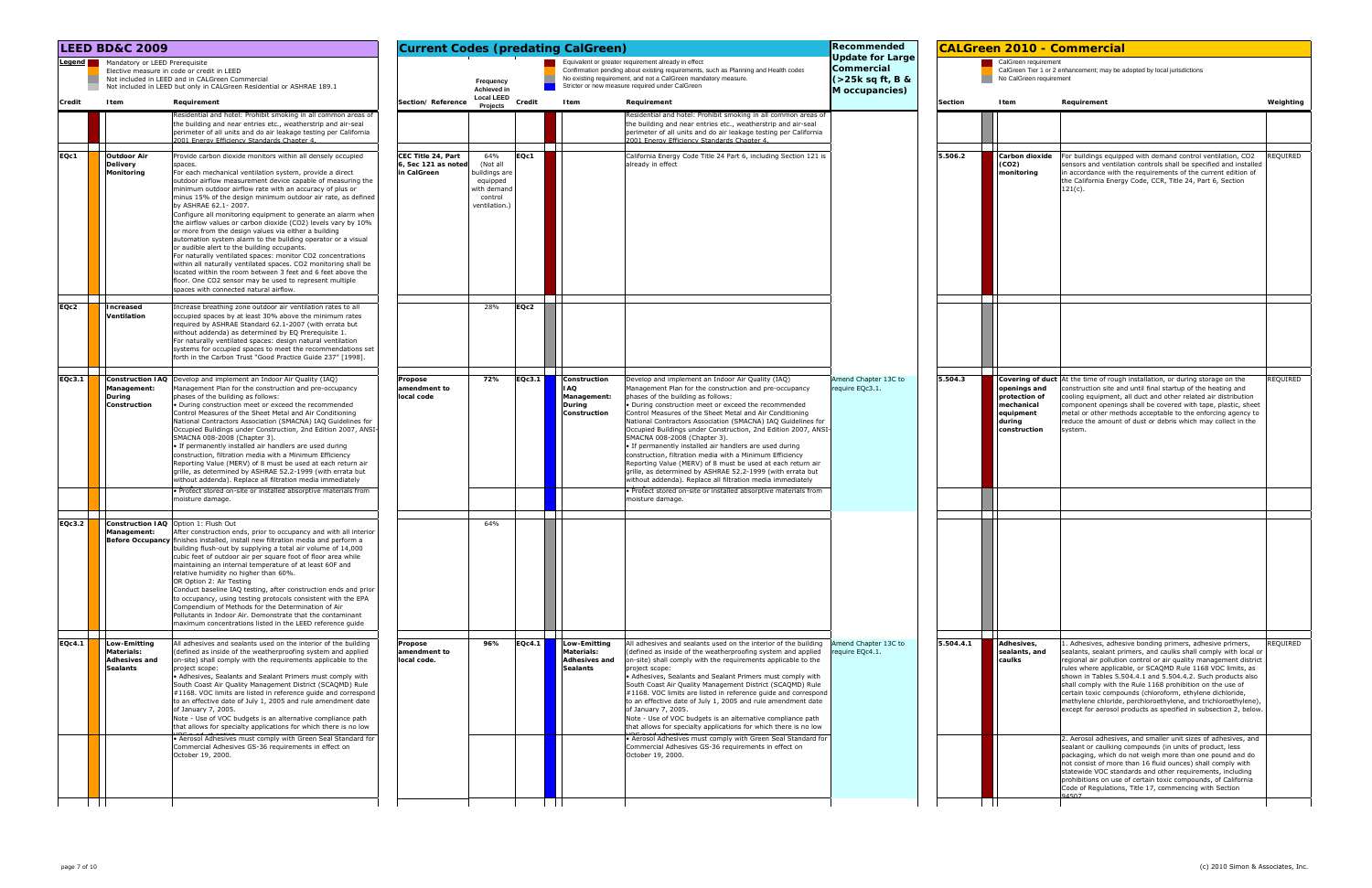|               |        | <b>LEED BD&amp;C 2009</b>                                                                                                       |                                                                                                                                                                                                                                                                                                                                                                                                                                                                                                                                                                                                                                                                                                                                                                                                                                                                                                                                                          | <b>Current Codes (predating CalGreen)</b><br>Equivalent or greater requirement already in effect |                                                                                         |        |                                                                              |                                                                                                                                                                                                                                                                                                                                                                                                                                                                                                                                                                                                                                                                                                                                                                                                                                                  | Recommended<br><b>CALGreen 2010 - Commercial</b><br><b>Update for Large</b><br>CalGreen requirement<br>Commercial<br>CalGreen Tier 1 or 2 enhancement; may be adopted by local jurisdictions |                |                                                                                    |                                                                                                                                                                                                                                                                                                                                                                                                                                                                                                                                                                                                                                                                   |           |
|---------------|--------|---------------------------------------------------------------------------------------------------------------------------------|----------------------------------------------------------------------------------------------------------------------------------------------------------------------------------------------------------------------------------------------------------------------------------------------------------------------------------------------------------------------------------------------------------------------------------------------------------------------------------------------------------------------------------------------------------------------------------------------------------------------------------------------------------------------------------------------------------------------------------------------------------------------------------------------------------------------------------------------------------------------------------------------------------------------------------------------------------|--------------------------------------------------------------------------------------------------|-----------------------------------------------------------------------------------------|--------|------------------------------------------------------------------------------|--------------------------------------------------------------------------------------------------------------------------------------------------------------------------------------------------------------------------------------------------------------------------------------------------------------------------------------------------------------------------------------------------------------------------------------------------------------------------------------------------------------------------------------------------------------------------------------------------------------------------------------------------------------------------------------------------------------------------------------------------------------------------------------------------------------------------------------------------|----------------------------------------------------------------------------------------------------------------------------------------------------------------------------------------------|----------------|------------------------------------------------------------------------------------|-------------------------------------------------------------------------------------------------------------------------------------------------------------------------------------------------------------------------------------------------------------------------------------------------------------------------------------------------------------------------------------------------------------------------------------------------------------------------------------------------------------------------------------------------------------------------------------------------------------------------------------------------------------------|-----------|
|               | Legend | Mandatory or LEED Prerequisite<br>Elective measure in code or credit in LEED<br>Not included in LEED and in CALGreen Commercial | Not included in LEED but only in CALGreen Residential or ASHRAE 189.1                                                                                                                                                                                                                                                                                                                                                                                                                                                                                                                                                                                                                                                                                                                                                                                                                                                                                    |                                                                                                  | Frequency<br><b>Achieved in</b>                                                         |        |                                                                              | Confirmation pending about existing requirements, such as Planning and Health codes<br>No existing requirement, and not a CalGreen mandatory measure.<br>Stricter or new measure required under CalGreen                                                                                                                                                                                                                                                                                                                                                                                                                                                                                                                                                                                                                                         | $($ >25 $k$ sq ft, B &<br>M occupancies)                                                                                                                                                     |                | No CalGreen requirement                                                            |                                                                                                                                                                                                                                                                                                                                                                                                                                                                                                                                                                                                                                                                   |           |
| <b>Credit</b> |        | Item                                                                                                                            | Requirement                                                                                                                                                                                                                                                                                                                                                                                                                                                                                                                                                                                                                                                                                                                                                                                                                                                                                                                                              | Section/Reference                                                                                | <b>Local LEED</b><br>Projects                                                           | Credit | Item                                                                         | Requirement                                                                                                                                                                                                                                                                                                                                                                                                                                                                                                                                                                                                                                                                                                                                                                                                                                      |                                                                                                                                                                                              | <b>Section</b> | Item                                                                               | Requirement                                                                                                                                                                                                                                                                                                                                                                                                                                                                                                                                                                                                                                                       | Weighting |
|               |        |                                                                                                                                 | Residential and hotel: Prohibit smoking in all common areas of<br>the building and near entries etc., weatherstrip and air-seal<br>perimeter of all units and do air leakage testing per California<br>2001 Energy Efficiency Standards Chapter 4.                                                                                                                                                                                                                                                                                                                                                                                                                                                                                                                                                                                                                                                                                                       |                                                                                                  |                                                                                         |        |                                                                              | Residential and hotel: Prohibit smoking in all common areas of<br>the building and near entries etc., weatherstrip and air-seal<br>perimeter of all units and do air leakage testing per California<br>2001 Energy Efficiency Standards Chapter 4.                                                                                                                                                                                                                                                                                                                                                                                                                                                                                                                                                                                               |                                                                                                                                                                                              |                |                                                                                    |                                                                                                                                                                                                                                                                                                                                                                                                                                                                                                                                                                                                                                                                   |           |
| EQc1          |        | <b>Outdoor Air</b><br><b>Delivery</b><br>spaces.<br>Monitoring                                                                  | Provide carbon dioxide monitors within all densely occupied<br>For each mechanical ventilation system, provide a direct<br>outdoor airflow measurement device capable of measuring the<br>minimum outdoor airflow rate with an accuracy of plus or<br>minus 15% of the design minimum outdoor air rate, as defined<br>by ASHRAE 62.1-2007.<br>Configure all monitoring equipment to generate an alarm when<br>the airflow values or carbon dioxide (CO2) levels vary by 10%<br>or more from the design values via either a building<br>automation system alarm to the building operator or a visual<br>or audible alert to the building occupants.<br>For naturally ventilated spaces: monitor CO2 concentrations<br>within all naturally ventilated spaces. CO2 monitoring shall be<br>located within the room between 3 feet and 6 feet above the<br>floor. One CO2 sensor may be used to represent multiple<br>spaces with connected natural airflow. | CEC Title 24, Part<br>Sec 121 as noted<br>in CalGreen                                            | 64%<br>(Not all<br>buildings are<br>equipped<br>with demand<br>control<br>ventilation.) | EQc1   |                                                                              | California Energy Code Title 24 Part 6, including Section 121 is<br>already in effect                                                                                                                                                                                                                                                                                                                                                                                                                                                                                                                                                                                                                                                                                                                                                            |                                                                                                                                                                                              | 5.506.2        | Carbon dioxide<br>(CO2)<br>monitoring                                              | For buildings equipped with demand control ventilation, CO2<br>sensors and ventilation controls shall be specified and installed<br>in accordance with the requirements of the current edition of<br>the California Energy Code, CCR, Title 24, Part 6, Section<br>$121(c)$ .                                                                                                                                                                                                                                                                                                                                                                                     | REQUIRED  |
| EQc2          |        | Increased<br>Ventilation                                                                                                        | Increase breathing zone outdoor air ventilation rates to all<br>occupied spaces by at least 30% above the minimum rates<br>required by ASHRAE Standard 62.1-2007 (with errata but<br>without addenda) as determined by EQ Prerequisite 1.<br>For naturally ventilated spaces: design natural ventilation<br>systems for occupied spaces to meet the recommendations set<br>forth in the Carbon Trust "Good Practice Guide 237" [1998].                                                                                                                                                                                                                                                                                                                                                                                                                                                                                                                   |                                                                                                  | 28%                                                                                     | EQc2   |                                                                              |                                                                                                                                                                                                                                                                                                                                                                                                                                                                                                                                                                                                                                                                                                                                                                                                                                                  |                                                                                                                                                                                              |                |                                                                                    |                                                                                                                                                                                                                                                                                                                                                                                                                                                                                                                                                                                                                                                                   |           |
| EQc3.1        |        | Management:<br>During<br>Construction                                                                                           | <b>Construction IAQ</b> Develop and implement an Indoor Air Quality (IAQ)<br>Management Plan for the construction and pre-occupancy<br>phases of the building as follows:<br>. During construction meet or exceed the recommended<br>Control Measures of the Sheet Metal and Air Conditioning<br>National Contractors Association (SMACNA) IAQ Guidelines for<br>Occupied Buildings under Construction, 2nd Edition 2007, ANSI<br>SMACNA 008-2008 (Chapter 3).<br>• If permanently installed air handlers are used during<br>construction, filtration media with a Minimum Efficiency<br>Reporting Value (MERV) of 8 must be used at each return air<br>grille, as determined by ASHRAE 52.2-1999 (with errata but<br>without addenda). Replace all filtration media immediately<br>. Protect stored on-site or installed absorptive materials from<br>moisture damage.                                                                                  | Propose<br>amendment to<br>local code                                                            | 72%                                                                                     | EQc3.1 | Construction<br>I AQ<br>Management:<br>During<br>Construction                | Develop and implement an Indoor Air Quality (IAQ)<br>Management Plan for the construction and pre-occupancy<br>phases of the building as follows:<br>. During construction meet or exceed the recommended<br>Control Measures of the Sheet Metal and Air Conditioning<br>National Contractors Association (SMACNA) IAQ Guidelines for<br>Occupied Buildings under Construction, 2nd Edition 2007, ANSI-<br>SMACNA 008-2008 (Chapter 3).<br>• If permanently installed air handlers are used during<br>construction, filtration media with a Minimum Efficiency<br>Reporting Value (MERV) of 8 must be used at each return air<br>grille, as determined by ASHRAE 52.2-1999 (with errata but<br>without addenda). Replace all filtration media immediately<br>· Protect stored on-site or installed absorptive materials from<br>moisture damage. | Amend Chapter 13C to<br>require EQc3.1                                                                                                                                                       | 5.504.3        | openings and<br>protection of<br>mechanical<br>equipment<br>during<br>construction | Covering of duct At the time of rough installation, or during storage on the<br>construction site and until final startup of the heating and<br>cooling equipment, all duct and other related air distribution<br>component openings shall be covered with tape, plastic, sheet<br>metal or other methods acceptable to the enforcing agency to<br>reduce the amount of dust or debris which may collect in the<br>system.                                                                                                                                                                                                                                        | REQUIRED  |
| EQc3.2        |        | Construction IAQ Option 1: Flush Out<br>Management:                                                                             | After construction ends, prior to occupancy and with all interior<br>Before Occupancy finishes installed, install new filtration media and perform a<br>building flush-out by supplying a total air volume of 14,000<br>cubic feet of outdoor air per square foot of floor area while<br>maintaining an internal temperature of at least 60F and<br>relative humidity no higher than 60%.<br>OR Option 2: Air Testing<br>Conduct baseline IAQ testing, after construction ends and prior<br>to occupancy, using testing protocols consistent with the EPA<br>Compendium of Methods for the Determination of Air<br>Pollutants in Indoor Air. Demonstrate that the contaminant<br>maximum concentrations listed in the LEED reference guide                                                                                                                                                                                                               |                                                                                                  | 64%                                                                                     |        |                                                                              |                                                                                                                                                                                                                                                                                                                                                                                                                                                                                                                                                                                                                                                                                                                                                                                                                                                  |                                                                                                                                                                                              |                |                                                                                    |                                                                                                                                                                                                                                                                                                                                                                                                                                                                                                                                                                                                                                                                   |           |
| <b>EQc4.1</b> |        | Low-Emitting<br><b>Materials:</b><br><b>Adhesives and</b><br><b>Sealants</b>                                                    | All adhesives and sealants used on the interior of the building<br>(defined as inside of the weatherproofing system and applied<br>on-site) shall comply with the requirements applicable to the<br>project scope:<br>• Adhesives, Sealants and Sealant Primers must comply with<br>South Coast Air Quality Management District (SCAQMD) Rule<br>#1168. VOC limits are listed in reference guide and correspond<br>to an effective date of July 1, 2005 and rule amendment date<br>of January 7, 2005.<br>Note - Use of VOC budgets is an alternative compliance path<br>that allows for specialty applications for which there is no low<br>• Aerosol Adhesives must comply with Green Seal Standard for                                                                                                                                                                                                                                                | Propose<br>amendment to<br>local code.                                                           | 96%                                                                                     | EQc4.1 | <b>Low-Emitting</b><br>Materials:<br><b>Adhesives and</b><br><b>Sealants</b> | All adhesives and sealants used on the interior of the building<br>defined as inside of the weatherproofing system and applied<br>on-site) shall comply with the requirements applicable to the<br>project scope:<br>• Adhesives, Sealants and Sealant Primers must comply with<br>South Coast Air Quality Management District (SCAQMD) Rule<br>#1168. VOC limits are listed in reference guide and correspond<br>to an effective date of July 1, 2005 and rule amendment date<br>of January 7, 2005.<br>Note - Use of VOC budgets is an alternative compliance path<br>that allows for specialty applications for which there is no low<br>• Aerosol Adhesives must comply with Green Seal Standard for                                                                                                                                         | Amend Chapter 13C to<br>equire EQc4.1.                                                                                                                                                       | 5.504.4.1      | Adhesives,<br>sealants, and<br>caulks                                              | 1. Adhesives, adhesive bonding primers, adhesive primers,<br>sealants, sealant primers, and caulks shall comply with local or<br>regional air pollution control or air quality management district<br>rules where applicable, or SCAQMD Rule 1168 VOC limits, as<br>shown in Tables 5.504.4.1 and 5.504.4.2. Such products also<br>shall comply with the Rule 1168 prohibition on the use of<br>certain toxic compounds (chloroform, ethylene dichloride,<br>methylene chloride, perchloroethylene, and trichloroethylene),<br>except for aerosol products as specified in subsection 2, below.<br>2. Aerosol adhesives, and smaller unit sizes of adhesives, and | REQUIRED  |
|               |        |                                                                                                                                 | Commercial Adhesives GS-36 requirements in effect on<br>October 19, 2000.                                                                                                                                                                                                                                                                                                                                                                                                                                                                                                                                                                                                                                                                                                                                                                                                                                                                                |                                                                                                  |                                                                                         |        |                                                                              | Commercial Adhesives GS-36 requirements in effect on<br>October 19, 2000.                                                                                                                                                                                                                                                                                                                                                                                                                                                                                                                                                                                                                                                                                                                                                                        |                                                                                                                                                                                              |                |                                                                                    | sealant or caulking compounds (in units of product, less<br>packaging, which do not weigh more than one pound and do<br>not consist of more than 16 fluid ounces) shall comply with<br>statewide VOC standards and other requirements, including<br>prohibitions on use of certain toxic compounds, of California<br>Code of Regulations, Title 17, commencing with Section                                                                                                                                                                                                                                                                                       |           |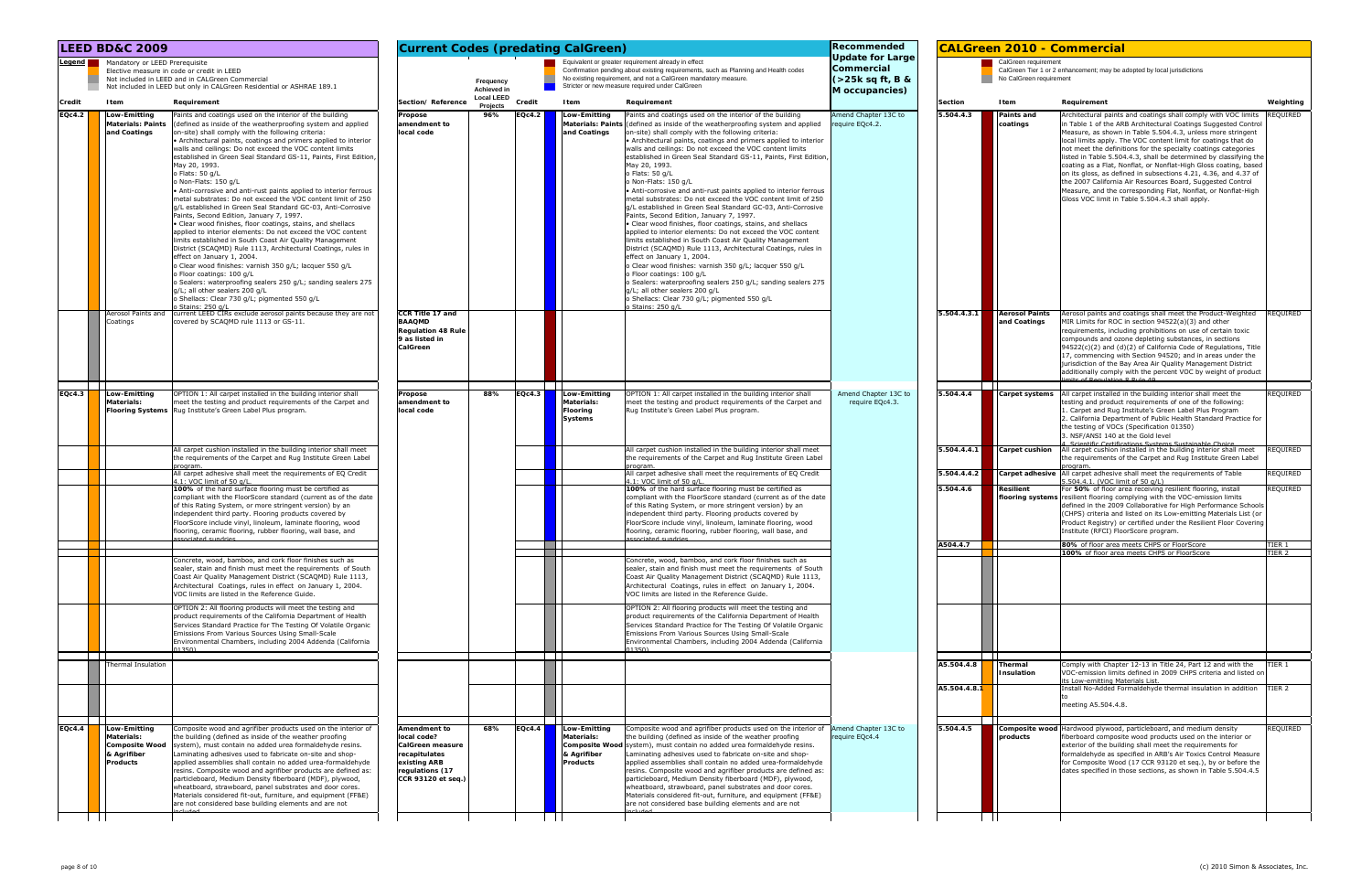|                                                                            | <b>LEED BD&amp;C 2009</b><br>Legend Mandatory or LEED Prerequisite<br>Elective measure in code or credit in LEED<br>Not included in LEED and in CALGreen Commercial |                                                                                                                                                                                                                                                                                                                                                                                                                                                                                                                                                                                                                                                                                                                                                                                                                                                                                                                                                                                                                                                                                                                                                                                                                                                       |                                                                                                                           |                                      |        | <b>Current Codes (predating CalGreen)</b>                           |                                                                                                                                                                                                                                                                                                                                                                                                                                                                                                                                                                                                                                                                                                                                                                                                                                                                                                                                                                                                                                                                                                                                                                                                                                                                         | Recommended                                                                |                            |                                                 | <b>CALGreen 2010 - Commercial</b>                                                                                                                                                                                                                                                                                                                                                                                                                                                                                                                                                                                                                                                                                                 |                      |
|----------------------------------------------------------------------------|---------------------------------------------------------------------------------------------------------------------------------------------------------------------|-------------------------------------------------------------------------------------------------------------------------------------------------------------------------------------------------------------------------------------------------------------------------------------------------------------------------------------------------------------------------------------------------------------------------------------------------------------------------------------------------------------------------------------------------------------------------------------------------------------------------------------------------------------------------------------------------------------------------------------------------------------------------------------------------------------------------------------------------------------------------------------------------------------------------------------------------------------------------------------------------------------------------------------------------------------------------------------------------------------------------------------------------------------------------------------------------------------------------------------------------------|---------------------------------------------------------------------------------------------------------------------------|--------------------------------------|--------|---------------------------------------------------------------------|-------------------------------------------------------------------------------------------------------------------------------------------------------------------------------------------------------------------------------------------------------------------------------------------------------------------------------------------------------------------------------------------------------------------------------------------------------------------------------------------------------------------------------------------------------------------------------------------------------------------------------------------------------------------------------------------------------------------------------------------------------------------------------------------------------------------------------------------------------------------------------------------------------------------------------------------------------------------------------------------------------------------------------------------------------------------------------------------------------------------------------------------------------------------------------------------------------------------------------------------------------------------------|----------------------------------------------------------------------------|----------------------------|-------------------------------------------------|-----------------------------------------------------------------------------------------------------------------------------------------------------------------------------------------------------------------------------------------------------------------------------------------------------------------------------------------------------------------------------------------------------------------------------------------------------------------------------------------------------------------------------------------------------------------------------------------------------------------------------------------------------------------------------------------------------------------------------------|----------------------|
|                                                                            |                                                                                                                                                                     | Not included in LEED but only in CALGreen Residential or ASHRAE 189.1                                                                                                                                                                                                                                                                                                                                                                                                                                                                                                                                                                                                                                                                                                                                                                                                                                                                                                                                                                                                                                                                                                                                                                                 |                                                                                                                           | Frequency<br>Achieved in             |        |                                                                     | Equivalent or greater requirement already in effect<br>Confirmation pending about existing requirements, such as Planning and Health codes<br>No existing requirement, and not a CalGreen mandatory measure.<br>Stricter or new measure required under CalGreen                                                                                                                                                                                                                                                                                                                                                                                                                                                                                                                                                                                                                                                                                                                                                                                                                                                                                                                                                                                                         | Update for Large<br>Commercial<br>$($ >25 $k$ sq ft, B &<br>M occupancies) |                            | CalGreen requirement<br>No CalGreen requirement | CalGreen Tier 1 or 2 enhancement; may be adopted by local jurisdictions                                                                                                                                                                                                                                                                                                                                                                                                                                                                                                                                                                                                                                                           |                      |
| Credit                                                                     | Item                                                                                                                                                                | Requirement                                                                                                                                                                                                                                                                                                                                                                                                                                                                                                                                                                                                                                                                                                                                                                                                                                                                                                                                                                                                                                                                                                                                                                                                                                           | Section/Reference                                                                                                         | <b>Local LEED</b><br><b>Projects</b> | Credit | Item                                                                | Requirement                                                                                                                                                                                                                                                                                                                                                                                                                                                                                                                                                                                                                                                                                                                                                                                                                                                                                                                                                                                                                                                                                                                                                                                                                                                             |                                                                            | Section                    | Item                                            | Requirement                                                                                                                                                                                                                                                                                                                                                                                                                                                                                                                                                                                                                                                                                                                       | Weighting            |
| <b>Materials: Paints</b><br>and Coatings<br>Aerosol Paints and<br>Coatings |                                                                                                                                                                     | Paints and coatings used on the interior of the building<br>(defined as inside of the weatherproofing system and applied<br>on-site) shall comply with the following criteria:<br>• Architectural paints, coatings and primers applied to interior<br>walls and ceilings: Do not exceed the VOC content limits<br>established in Green Seal Standard GS-11, Paints, First Edition<br>May 20, 1993.<br>o Flats: 50 g/L<br>o Non-Flats: 150 g/L<br>• Anti-corrosive and anti-rust paints applied to interior ferrous<br>metal substrates: Do not exceed the VOC content limit of 250<br>g/L established in Green Seal Standard GC-03, Anti-Corrosive<br>Paints, Second Edition, January 7, 1997.<br>• Clear wood finishes, floor coatings, stains, and shellacs<br>applied to interior elements: Do not exceed the VOC content<br>limits established in South Coast Air Quality Management<br>District (SCAQMD) Rule 1113, Architectural Coatings, rules in<br>effect on January 1, 2004.<br>o Clear wood finishes: varnish 350 g/L; lacquer 550 g/L<br>o Floor coatings: 100 g/L<br>o Sealers: waterproofing sealers 250 g/L; sanding sealers 275<br>g/L; all other sealers 200 g/L<br>o Shellacs: Clear 730 g/L; pigmented 550 g/L<br>Stains: 250 g/L | Propose<br>amendment to<br>local code                                                                                     | 96%                                  | EQc4.2 | Low-Emitting<br>and Coatings                                        | Paints and coatings used on the interior of the building<br>Materials: Paints (defined as inside of the weatherproofing system and applied<br>on-site) shall comply with the following criteria:<br>• Architectural paints, coatings and primers applied to interior<br>walls and ceilings: Do not exceed the VOC content limits<br>established in Green Seal Standard GS-11, Paints, First Editior<br>May 20, 1993.<br>o Flats: 50 g/L<br>o Non-Flats: 150 g/L<br>• Anti-corrosive and anti-rust paints applied to interior ferrous<br>metal substrates: Do not exceed the VOC content limit of 250<br>g/L established in Green Seal Standard GC-03, Anti-Corrosive<br>Paints, Second Edition, January 7, 1997.<br>• Clear wood finishes, floor coatings, stains, and shellacs<br>applied to interior elements: Do not exceed the VOC content<br>limits established in South Coast Air Quality Management<br>District (SCAQMD) Rule 1113, Architectural Coatings, rules in<br>effect on January 1, 2004.<br>o Clear wood finishes: varnish 350 g/L; lacquer 550 g/L<br>o Floor coatings: 100 g/L<br>o Sealers: waterproofing sealers 250 g/L; sanding sealers 275<br>g/L; all other sealers 200 g/L<br>o Shellacs: Clear 730 g/L; pigmented 550 g/L<br>Stains: 250 g/L | Amend Chapter 13C to<br>require EQc4.2.                                    | 5.504.4.3                  | Paints and<br>coatings                          | Architectural paints and coatings shall comply with VOC limits<br>in Table 1 of the ARB Architectural Coatings Suggested Control<br>Measure, as shown in Table 5.504.4.3, unless more stringent<br>local limits apply. The VOC content limit for coatings that do<br>not meet the definitions for the specialty coatings categories<br>listed in Table 5.504.4.3, shall be determined by classifying the<br>coating as a Flat, Nonflat, or Nonflat-High Gloss coating, based<br>on its gloss, as defined in subsections 4.21, 4.36, and 4.37 of<br>the 2007 California Air Resources Board, Suggested Control<br>Measure, and the corresponding Flat, Nonflat, or Nonflat-High<br>Gloss VOC limit in Table 5.504.4.3 shall apply. | REQUIRED             |
|                                                                            |                                                                                                                                                                     | current LEED CIRs exclude aerosol paints because they are not<br>covered by SCAQMD rule 1113 or GS-11.                                                                                                                                                                                                                                                                                                                                                                                                                                                                                                                                                                                                                                                                                                                                                                                                                                                                                                                                                                                                                                                                                                                                                | CCR Title 17 and<br><b>BAAQMD</b><br><b>Regulation 48 Rule</b><br>9 as listed in<br>CalGreen                              |                                      |        |                                                                     |                                                                                                                                                                                                                                                                                                                                                                                                                                                                                                                                                                                                                                                                                                                                                                                                                                                                                                                                                                                                                                                                                                                                                                                                                                                                         |                                                                            | 5.504.4.3.1                | <b>Aerosol Paints</b><br>and Coatings           | Aerosol paints and coatings shall meet the Product-Weighted<br>MIR Limits for ROC in section 94522(a)(3) and other<br>requirements, including prohibitions on use of certain toxic<br>compounds and ozone depleting substances, in sections<br>$94522(c)(2)$ and $(d)(2)$ of California Code of Regulations, Title<br>17, commencing with Section 94520; and in areas under the<br>jurisdiction of the Bay Area Air Quality Management District<br>additionally comply with the percent VOC by weight of product                                                                                                                                                                                                                  | REQUIRED             |
| EQc4.3                                                                     | Low-Emitting<br><b>Materials:</b>                                                                                                                                   | OPTION 1: All carpet installed in the building interior shall<br>meet the testing and product requirements of the Carpet and<br>Flooring Systems   Rug Institute's Green Label Plus program                                                                                                                                                                                                                                                                                                                                                                                                                                                                                                                                                                                                                                                                                                                                                                                                                                                                                                                                                                                                                                                           | Propose<br>amendment to<br>local code                                                                                     | 88%                                  | EQc4.3 | Low-Emitting<br><b>Materials:</b><br>Flooring<br>Systems            | OPTION 1: All carpet installed in the building interior shall<br>meet the testing and product requirements of the Carpet and<br>Rug Institute's Green Label Plus program                                                                                                                                                                                                                                                                                                                                                                                                                                                                                                                                                                                                                                                                                                                                                                                                                                                                                                                                                                                                                                                                                                | Amend Chapter 13C to<br>require EQc4.3.                                    | 5.504.4.4                  |                                                 | <b>Carpet systems</b> All carpet installed in the building interior shall meet the<br>testing and product requirements of one of the following:<br>1. Carpet and Rug Institute's Green Label Plus Program<br>2. California Department of Public Health Standard Practice for<br>the testing of VOCs (Specification 01350)<br>3. NSF/ANSI 140 at the Gold level<br>Scientific Certifications Systems Sustainable Choice                                                                                                                                                                                                                                                                                                            | REQUIRED             |
|                                                                            |                                                                                                                                                                     | All carpet cushion installed in the building interior shall meet<br>the requirements of the Carpet and Rug Institute Green Label                                                                                                                                                                                                                                                                                                                                                                                                                                                                                                                                                                                                                                                                                                                                                                                                                                                                                                                                                                                                                                                                                                                      |                                                                                                                           |                                      |        |                                                                     | All carpet cushion installed in the building interior shall meet<br>the requirements of the Carpet and Rug Institute Green Label<br>program                                                                                                                                                                                                                                                                                                                                                                                                                                                                                                                                                                                                                                                                                                                                                                                                                                                                                                                                                                                                                                                                                                                             |                                                                            | 5.504.4.4.1                | <b>Carpet cushion</b>                           | All carpet cushion installed in the building interior shall meet<br>the requirements of the Carpet and Rug Institute Green Label<br>progran                                                                                                                                                                                                                                                                                                                                                                                                                                                                                                                                                                                       | REQUIRED             |
|                                                                            |                                                                                                                                                                     | All carpet adhesive shall meet the requirements of EQ Credit<br>4.1: VOC limit of 50 g/L<br>100% of the hard surface flooring must be certified as<br>compliant with the FloorScore standard (current as of the date<br>of this Rating System, or more stringent version) by an<br>independent third party. Flooring products covered by<br>FloorScore include vinyl, linoleum, laminate flooring, wood<br>flooring, ceramic flooring, rubber flooring, wall base, and<br>ssociated sundries                                                                                                                                                                                                                                                                                                                                                                                                                                                                                                                                                                                                                                                                                                                                                          |                                                                                                                           |                                      |        |                                                                     | All carpet adhesive shall meet the requirements of EQ Credit<br>4.1: VOC limit of 50 g/L<br>100% of the hard surface flooring must be certified as<br>compliant with the FloorScore standard (current as of the date<br>of this Rating System, or more stringent version) by an<br>independent third party. Flooring products covered by<br>FloorScore include vinyl, linoleum, laminate flooring, wood<br>flooring, ceramic flooring, rubber flooring, wall base, and<br>esphaue hetspose                                                                                                                                                                                                                                                                                                                                                                                                                                                                                                                                                                                                                                                                                                                                                                              |                                                                            | 5.504.4.4.2<br>5.504.4.6   | <b>Resilient</b>                                | Carpet adhesive   All carpet adhesive shall meet the requirements of Table<br>5.504.4.1. (VOC limit of 50 g/L)<br>For 50% of floor area receiving resilient flooring, install<br>flooring systems resilient flooring complying with the VOC-emission limits<br>defined in the 2009 Collaborative for High Performance Schools<br>(CHPS) criteria and listed on its Low-emitting Materials List (or<br>Product Registry) or certified under the Resilient Floor Covering<br>Institute (RFCI) FloorScore program.                                                                                                                                                                                                                   | REQUIRED<br>REQUIRED |
|                                                                            |                                                                                                                                                                     | Concrete, wood, bamboo, and cork floor finishes such as<br>sealer, stain and finish must meet the requirements of South<br>Coast Air Quality Management District (SCAQMD) Rule 1113,<br>Architectural Coatings, rules in effect on January 1, 2004.<br>VOC limits are listed in the Reference Guide.                                                                                                                                                                                                                                                                                                                                                                                                                                                                                                                                                                                                                                                                                                                                                                                                                                                                                                                                                  |                                                                                                                           |                                      |        |                                                                     | Concrete, wood, bamboo, and cork floor finishes such as<br>sealer, stain and finish must meet the requirements of South<br>Coast Air Quality Management District (SCAQMD) Rule 1113,<br>Architectural Coatings, rules in effect on January 1, 2004.<br>VOC limits are listed in the Reference Guide.                                                                                                                                                                                                                                                                                                                                                                                                                                                                                                                                                                                                                                                                                                                                                                                                                                                                                                                                                                    |                                                                            | A504.4.7                   |                                                 | 80% of floor area meets CHPS or FloorScore<br>100% of floor area meets CHPS or FloorScore                                                                                                                                                                                                                                                                                                                                                                                                                                                                                                                                                                                                                                         | TIER 1<br>TIER 2     |
|                                                                            |                                                                                                                                                                     | OPTION 2: All flooring products will meet the testing and<br>product requirements of the California Department of Health<br>Services Standard Practice for The Testing Of Volatile Organic<br>Emissions From Various Sources Using Small-Scale<br>Environmental Chambers, including 2004 Addenda (California<br>113501                                                                                                                                                                                                                                                                                                                                                                                                                                                                                                                                                                                                                                                                                                                                                                                                                                                                                                                                |                                                                                                                           |                                      |        |                                                                     | OPTION 2: All flooring products will meet the testing and<br>product requirements of the California Department of Health<br>Services Standard Practice for The Testing Of Volatile Organic<br>Emissions From Various Sources Using Small-Scale<br>Environmental Chambers, including 2004 Addenda (California<br>01350)                                                                                                                                                                                                                                                                                                                                                                                                                                                                                                                                                                                                                                                                                                                                                                                                                                                                                                                                                  |                                                                            |                            |                                                 |                                                                                                                                                                                                                                                                                                                                                                                                                                                                                                                                                                                                                                                                                                                                   |                      |
|                                                                            | Thermal Insulation                                                                                                                                                  |                                                                                                                                                                                                                                                                                                                                                                                                                                                                                                                                                                                                                                                                                                                                                                                                                                                                                                                                                                                                                                                                                                                                                                                                                                                       |                                                                                                                           |                                      |        |                                                                     |                                                                                                                                                                                                                                                                                                                                                                                                                                                                                                                                                                                                                                                                                                                                                                                                                                                                                                                                                                                                                                                                                                                                                                                                                                                                         |                                                                            | A5.504.4.8<br>A5.504.4.8.1 | Thermal<br>Insulation                           | Comply with Chapter 12-13 in Title 24, Part 12 and with the<br>VOC-emission limits defined in 2009 CHPS criteria and listed on<br>its Low-emitting Materials List.<br>Install No-Added Formaldehyde thermal insulation in addition TIER 2<br>meeting A5.504.4.8.                                                                                                                                                                                                                                                                                                                                                                                                                                                                  | TIER 1               |
| ---<br>EQc4.4                                                              | Low-Emitting<br><b>Materials:</b><br><b>Composite Wood</b><br>& Agrifiber<br><b>Products</b>                                                                        | Composite wood and agrifiber products used on the interior of<br>the building (defined as inside of the weather proofing<br>system), must contain no added urea formaldehyde resins.<br>Laminating adhesives used to fabricate on-site and shop-<br>applied assemblies shall contain no added urea-formaldehyde<br>resins. Composite wood and agrifiber products are defined as:<br>particleboard, Medium Density fiberboard (MDF), plywood,<br>wheatboard, strawboard, panel substrates and door cores.<br>Materials considered fit-out, furniture, and equipment (FF&E)<br>are not considered base building elements and are not                                                                                                                                                                                                                                                                                                                                                                                                                                                                                                                                                                                                                    | Amendment to<br>local code?<br>CalGreen measure<br>recapitulates<br>existing ARB<br>regulations (17<br>CCR 93120 et seq.) | 68%                                  | EQc4.4 | <b>Low-Emitting</b><br><b>Materials:</b><br>& Agrifiber<br>Products | Composite wood and agrifiber products used on the interior of Amend Chapter 13C to<br>the building (defined as inside of the weather proofing<br>Composite Wood system), must contain no added urea formaldehyde resins.<br>Laminating adhesives used to fabricate on-site and shop-<br>applied assemblies shall contain no added urea-formaldehyde<br>resins. Composite wood and agrifiber products are defined as:<br>particleboard, Medium Density fiberboard (MDF), plywood,<br>wheatboard, strawboard, panel substrates and door cores.<br>Materials considered fit-out, furniture, and equipment (FF&E)<br>are not considered base building elements and are not                                                                                                                                                                                                                                                                                                                                                                                                                                                                                                                                                                                                  | require EQc4.4                                                             | 5.504.4.5                  | products                                        | Composite wood Hardwood plywood, particleboard, and medium density<br>fiberboard composite wood products used on the interior or<br>exterior of the building shall meet the requirements for<br>formaldehyde as specified in ARB's Air Toxics Control Measure<br>for Composite Wood (17 CCR 93120 et seq.), by or before the<br>dates specified in those sections, as shown in Table 5.504.4.5                                                                                                                                                                                                                                                                                                                                    | REQUIRED             |
|                                                                            |                                                                                                                                                                     |                                                                                                                                                                                                                                                                                                                                                                                                                                                                                                                                                                                                                                                                                                                                                                                                                                                                                                                                                                                                                                                                                                                                                                                                                                                       |                                                                                                                           |                                      |        |                                                                     |                                                                                                                                                                                                                                                                                                                                                                                                                                                                                                                                                                                                                                                                                                                                                                                                                                                                                                                                                                                                                                                                                                                                                                                                                                                                         |                                                                            |                            |                                                 |                                                                                                                                                                                                                                                                                                                                                                                                                                                                                                                                                                                                                                                                                                                                   |                      |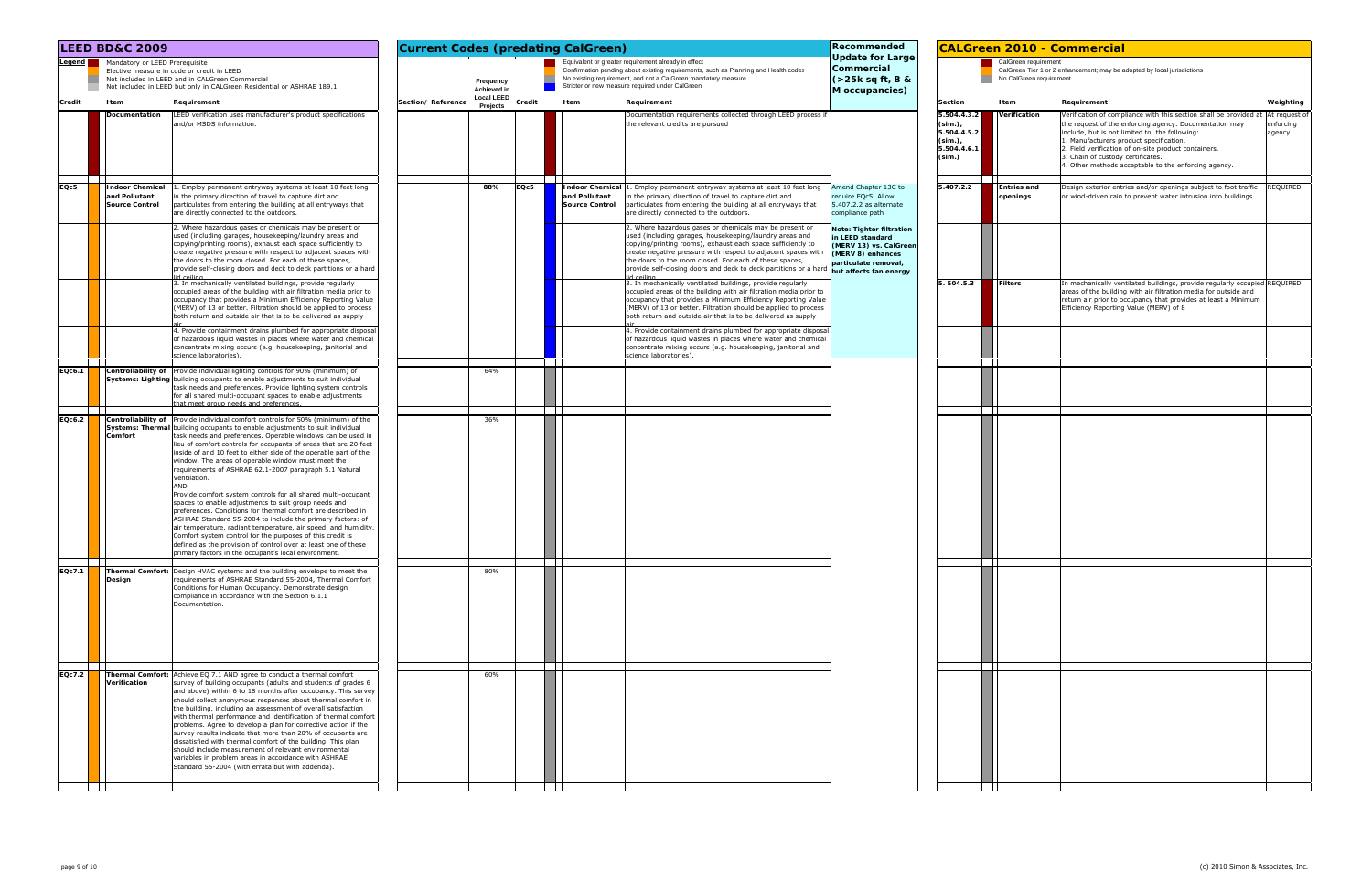|                 | <b>LEED BD&amp;C 2009</b>                                                                                                                                                                                                                                                                                                                                                                                                                                                                                                                                                                                                                                                                                                                                                                                                                                                                                                                                                                                                                       | <b>Current Codes (predating CalGreen)</b><br>Equivalent or greater requirement already in effect |                               |        |                                                                                                                                                                                                                                                                                                                                                                                                  | Recommended                                                                                                                                  |                                                                                     |                                                 | <b>CALGreen 2010 - Commercial</b>                                                                                                                                                                                                                                                                                                                                                            |                     |
|-----------------|-------------------------------------------------------------------------------------------------------------------------------------------------------------------------------------------------------------------------------------------------------------------------------------------------------------------------------------------------------------------------------------------------------------------------------------------------------------------------------------------------------------------------------------------------------------------------------------------------------------------------------------------------------------------------------------------------------------------------------------------------------------------------------------------------------------------------------------------------------------------------------------------------------------------------------------------------------------------------------------------------------------------------------------------------|--------------------------------------------------------------------------------------------------|-------------------------------|--------|--------------------------------------------------------------------------------------------------------------------------------------------------------------------------------------------------------------------------------------------------------------------------------------------------------------------------------------------------------------------------------------------------|----------------------------------------------------------------------------------------------------------------------------------------------|-------------------------------------------------------------------------------------|-------------------------------------------------|----------------------------------------------------------------------------------------------------------------------------------------------------------------------------------------------------------------------------------------------------------------------------------------------------------------------------------------------------------------------------------------------|---------------------|
| Legend <b>I</b> | Mandatory or LEED Prerequisite<br>Elective measure in code or credit in LEED<br>Not included in LEED and in CALGreen Commercial<br>Not included in LEED but only in CALGreen Residential or ASHRAE 189.1                                                                                                                                                                                                                                                                                                                                                                                                                                                                                                                                                                                                                                                                                                                                                                                                                                        |                                                                                                  | Frequency<br>Achieved in      |        | Confirmation pending about existing requirements, such as Planning and Health codes<br>No existing requirement, and not a CalGreen mandatory measure.<br>Stricter or new measure required under CalGreen                                                                                                                                                                                         | <b>Update for Large</b><br>Commercial<br>(>25k sq ft, B &<br>M occupancies)                                                                  |                                                                                     | CalGreen requirement<br>No CalGreen requirement | CalGreen Tier 1 or 2 enhancement; may be adopted by local jurisdictions                                                                                                                                                                                                                                                                                                                      |                     |
| Credit          | Item<br>Requirement                                                                                                                                                                                                                                                                                                                                                                                                                                                                                                                                                                                                                                                                                                                                                                                                                                                                                                                                                                                                                             | Section/Reference                                                                                | <b>Local LEED</b><br>Projects | Credit | Item<br>Requirement                                                                                                                                                                                                                                                                                                                                                                              |                                                                                                                                              | Section                                                                             | Item                                            | Requirement                                                                                                                                                                                                                                                                                                                                                                                  | Weighting           |
|                 | Documentation<br>LEED verification uses manufacturer's product specifications<br>and/or MSDS information.                                                                                                                                                                                                                                                                                                                                                                                                                                                                                                                                                                                                                                                                                                                                                                                                                                                                                                                                       |                                                                                                  |                               |        | Documentation requirements collected through LEED process if<br>the relevant credits are pursued                                                                                                                                                                                                                                                                                                 |                                                                                                                                              | 5.504.4.3.2<br>(sim.),<br>5.504.4.5.2<br>$(\mathsf{sim.})$<br>5.504.4.6.1<br>(sim.) | Verification                                    | Verification of compliance with this section shall be provided at  At request of<br>the request of the enforcing agency. Documentation may<br>include, but is not limited to, the following:<br>1. Manufacturers product specification.<br>2. Field verification of on-site product containers.<br>3. Chain of custody certificates.<br>4. Other methods acceptable to the enforcing agency. | enforcing<br>agency |
| EQc5            | $\mathbf{I}$<br><b>Indoor Chemical</b><br>1. Employ permanent entryway systems at least 10 feet long<br>and Pollutant<br>in the primary direction of travel to capture dirt and<br><b>Source Control</b><br>particulates from entering the building at all entryways that<br>are directly connected to the outdoors.                                                                                                                                                                                                                                                                                                                                                                                                                                                                                                                                                                                                                                                                                                                            |                                                                                                  | 88%                           | EQc5   | Indoor Chemical   1. Employ permanent entryway systems at least 10 feet long<br>and Pollutant<br>in the primary direction of travel to capture dirt and<br><b>Source Control</b><br>particulates from entering the building at all entryways that<br>are directly connected to the outdoors.                                                                                                     | Amend Chapter 13C to<br>require EQc5. Allow<br>5.407.2.2 as alternate<br>compliance path                                                     | 5.407.2.2                                                                           | <b>Entries and</b><br>openings                  | Design exterior entries and/or openings subject to foot traffic<br>or wind-driven rain to prevent water intrusion into buildings.                                                                                                                                                                                                                                                            | REQUIRED            |
|                 | 2. Where hazardous gases or chemicals may be present or<br>used (including garages, housekeeping/laundry areas and<br>copying/printing rooms), exhaust each space sufficiently to<br>create negative pressure with respect to adjacent spaces with<br>the doors to the room closed. For each of these spaces,<br>provide self-closing doors and deck to deck partitions or a hard<br>lid ceiling                                                                                                                                                                                                                                                                                                                                                                                                                                                                                                                                                                                                                                                |                                                                                                  |                               |        | 2. Where hazardous gases or chemicals may be present or<br>used (including garages, housekeeping/laundry areas and<br>copying/printing rooms), exhaust each space sufficiently to<br>create negative pressure with respect to adjacent spaces with<br>the doors to the room closed. For each of these spaces,<br>provide self-closing doors and deck to deck partitions or a hard<br>lid ceiling | Note: Tighter filtration<br>n LEED standard<br>(MERV 13) vs. CalGreen<br>(MERV 8) enhances<br>particulate removal,<br>but affects fan energy |                                                                                     |                                                 |                                                                                                                                                                                                                                                                                                                                                                                              |                     |
|                 | 3. In mechanically ventilated buildings, provide regularly<br>occupied areas of the building with air filtration media prior to<br>occupancy that provides a Minimum Efficiency Reporting Value<br>(MERV) of 13 or better. Filtration should be applied to process<br>both return and outside air that is to be delivered as supply                                                                                                                                                                                                                                                                                                                                                                                                                                                                                                                                                                                                                                                                                                             |                                                                                                  |                               |        | 3. In mechanically ventilated buildings, provide regularly<br>occupied areas of the building with air filtration media prior to<br>occupancy that provides a Minimum Efficiency Reporting Value<br>(MERV) of 13 or better. Filtration should be applied to process<br>both return and outside air that is to be delivered as supply                                                              |                                                                                                                                              | 504.5.3                                                                             | Filters                                         | In mechanically ventilated buildings, provide regularly occupied REQUIRED<br>areas of the building with air filtration media for outside and<br>return air prior to occupancy that provides at least a Minimum<br>Efficiency Reporting Value (MERV) of 8                                                                                                                                     |                     |
|                 | 4. Provide containment drains plumbed for appropriate disposal<br>of hazardous liquid wastes in places where water and chemical<br>concentrate mixing occurs (e.g. housekeeping, janitorial and<br>cience laboratories).                                                                                                                                                                                                                                                                                                                                                                                                                                                                                                                                                                                                                                                                                                                                                                                                                        |                                                                                                  |                               |        | 4. Provide containment drains plumbed for appropriate disposal<br>of hazardous liquid wastes in places where water and chemical<br>concentrate mixing occurs (e.g. housekeeping, janitorial and<br>science laboratories)                                                                                                                                                                         |                                                                                                                                              |                                                                                     |                                                 |                                                                                                                                                                                                                                                                                                                                                                                              |                     |
| EQc6.1          | Controllability of Provide individual lighting controls for 90% (minimum) of<br>Systems: Lighting building occupants to enable adjustments to suit individual<br>task needs and preferences. Provide lighting system controls<br>for all shared multi-occupant spaces to enable adjustments<br>that meet group needs and preferences                                                                                                                                                                                                                                                                                                                                                                                                                                                                                                                                                                                                                                                                                                            |                                                                                                  | 64%                           |        |                                                                                                                                                                                                                                                                                                                                                                                                  |                                                                                                                                              |                                                                                     |                                                 |                                                                                                                                                                                                                                                                                                                                                                                              |                     |
| EQc6.2          | <b>Controllability of</b> Provide individual comfort controls for 50% (minimum) of the<br>Systems: Thermal building occupants to enable adjustments to suit individual<br>task needs and preferences. Operable windows can be used in<br>Comfort<br>lieu of comfort controls for occupants of areas that are 20 feet<br>inside of and 10 feet to either side of the operable part of the<br>window. The areas of operable window must meet the<br>requirements of ASHRAE 62.1-2007 paragraph 5.1 Natural<br>Ventilation.<br>AND<br>Provide comfort system controls for all shared multi-occupant<br>spaces to enable adjustments to suit group needs and<br>preferences. Conditions for thermal comfort are described in<br>ASHRAE Standard 55-2004 to include the primary factors: of<br>air temperature, radiant temperature, air speed, and humidity.<br>Comfort system control for the purposes of this credit is<br>defined as the provision of control over at least one of these<br>primary factors in the occupant's local environment. |                                                                                                  | 36%                           |        |                                                                                                                                                                                                                                                                                                                                                                                                  |                                                                                                                                              |                                                                                     |                                                 |                                                                                                                                                                                                                                                                                                                                                                                              |                     |
| EQc7.1          | <b>Thermal Comfort:</b> Design HVAC systems and the building envelope to meet the<br>requirements of ASHRAE Standard 55-2004, Thermal Comfort<br>Design<br>Conditions for Human Occupancy. Demonstrate design<br>compliance in accordance with the Section 6.1.1<br>Documentation.                                                                                                                                                                                                                                                                                                                                                                                                                                                                                                                                                                                                                                                                                                                                                              |                                                                                                  | 80%                           |        | and the property of the                                                                                                                                                                                                                                                                                                                                                                          |                                                                                                                                              |                                                                                     |                                                 |                                                                                                                                                                                                                                                                                                                                                                                              |                     |
| EQc7.2          | Thermal Comfort: Achieve EQ 7.1 AND agree to conduct a thermal comfort<br>Verification<br>survey of building occupants (adults and students of grades 6<br>and above) within 6 to 18 months after occupancy. This survey<br>should collect anonymous responses about thermal comfort in<br>the building, including an assessment of overall satisfaction<br>with thermal performance and identification of thermal comfort<br>problems. Agree to develop a plan for corrective action if the<br>survey results indicate that more than 20% of occupants are<br>dissatisfied with thermal comfort of the building. This plan<br>should include measurement of relevant environmental<br>variables in problem areas in accordance with ASHRAE<br>Standard 55-2004 (with errata but with addenda).                                                                                                                                                                                                                                                 |                                                                                                  | 60%                           |        |                                                                                                                                                                                                                                                                                                                                                                                                  |                                                                                                                                              |                                                                                     |                                                 |                                                                                                                                                                                                                                                                                                                                                                                              |                     |